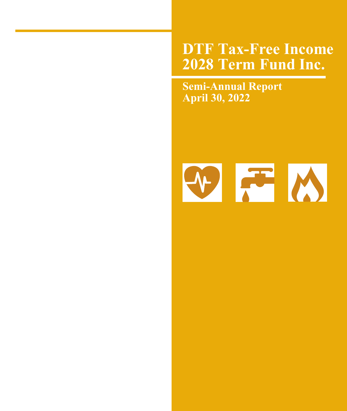# **DTF Tax-Free Income 2028 Term Fund Inc.**

**Semi-Annual Report April 30, 2022**

# MFM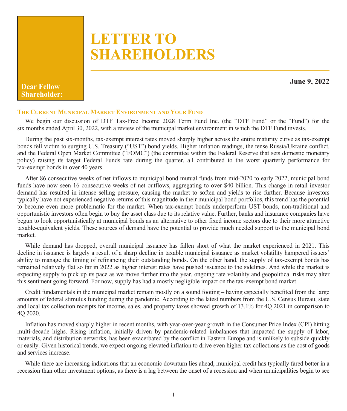# **LETTER TO SHAREHOLDERS**

**June 9, 2022 Dear Fellow Shareholder:**

#### **THE CURRENT MUNICIPAL MARKET ENVIRONMENT AND YOUR FUND**

We begin our discussion of DTF Tax-Free Income 2028 Term Fund Inc. (the "DTF Fund" or the "Fund") for the six months ended April 30, 2022, with a review of the municipal market environment in which the DTF Fund invests.

During the past six-months, tax-exempt interest rates moved sharply higher across the entire maturity curve as tax-exempt bonds fell victim to surging U.S. Treasury ("UST") bond yields. Higher inflation readings, the tense Russia/Ukraine conflict, and the Federal Open Market Committee ("FOMC") (the committee within the Federal Reserve that sets domestic monetary policy) raising its target Federal Funds rate during the quarter, all contributed to the worst quarterly performance for tax-exempt bonds in over 40 years.

After 86 consecutive weeks of net inflows to municipal bond mutual funds from mid-2020 to early 2022, municipal bond funds have now seen 16 consecutive weeks of net outflows, aggregating to over \$40 billion. This change in retail investor demand has resulted in intense selling pressure, causing the market to soften and yields to rise further. Because investors typically have not experienced negative returns of this magnitude in their municipal bond portfolios, this trend has the potential to become even more problematic for the market. When tax-exempt bonds underperform UST bonds, non-traditional and opportunistic investors often begin to buy the asset class due to its relative value. Further, banks and insurance companies have begun to look opportunistically at municipal bonds as an alternative to other fixed income sectors due to their more attractive taxable-equivalent yields. These sources of demand have the potential to provide much needed support to the municipal bond market.

While demand has dropped, overall municipal issuance has fallen short of what the market experienced in 2021. This decline in issuance is largely a result of a sharp decline in taxable municipal issuance as market volatility hampered issuers' ability to manage the timing of refinancing their outstanding bonds. On the other hand, the supply of tax-exempt bonds has remained relatively flat so far in 2022 as higher interest rates have pushed issuance to the sidelines. And while the market is expecting supply to pick up its pace as we move further into the year, ongoing rate volatility and geopolitical risks may alter this sentiment going forward. For now, supply has had a mostly negligible impact on the tax-exempt bond market.

Credit fundamentals in the municipal market remain mostly on a sound footing – having especially benefited from the large amounts of federal stimulus funding during the pandemic. According to the latest numbers from the U.S. Census Bureau, state and local tax collection receipts for income, sales, and property taxes showed growth of 13.1% for 4Q 2021 in comparison to 4Q 2020.

Inflation has moved sharply higher in recent months, with year-over-year growth in the Consumer Price Index (CPI) hitting multi-decade highs. Rising inflation, initially driven by pandemic-related imbalances that impacted the supply of labor, materials, and distribution networks, has been exacerbated by the conflict in Eastern Europe and is unlikely to subside quickly or easily. Given historical trends, we expect ongoing elevated inflation to drive even higher tax collections as the cost of goods and services increase.

While there are increasing indications that an economic downturn lies ahead, municipal credit has typically fared better in a recession than other investment options, as there is a lag between the onset of a recession and when municipalities begin to see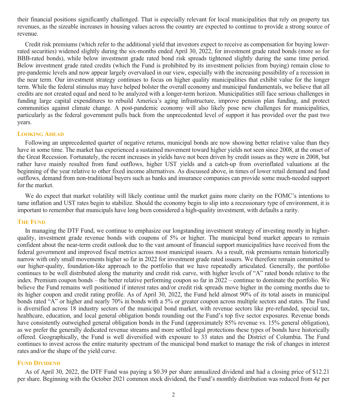their financial positions significantly challenged. That is especially relevant for local municipalities that rely on property tax revenues, as the sizeable increases in housing values across the country are expected to continue to provide a strong source of revenue.

Credit risk premiums (which refer to the additional yield that investors expect to receive as compensation for buying lowerrated securities) widened slightly during the six-months ended April 30, 2022, for investment grade rated bonds (more so for BBB-rated bonds), while below investment grade rated bond risk spreads tightened slightly during the same time period. Below investment grade rated credits (which the Fund is prohibited by its investment policies from buying) remain close to pre-pandemic levels and now appear largely overvalued in our view, especially with the increasing possibility of a recession in the near term. Our investment strategy continues to focus on higher quality municipalities that exhibit value for the longer term. While the federal stimulus may have helped bolster the overall economy and municipal fundamentals, we believe that all credits are not created equal and need to be analyzed with a longer-term horizon. Municipalities still face serious challenges in funding large capital expenditures to rebuild America's aging infrastructure, improve pension plan funding, and protect communities against climate change. A post-pandemic economy will also likely pose new challenges for municipalities, particularly as the federal government pulls back from the unprecedented level of support it has provided over the past two years.

#### **LOOKING AHEAD**

Following an unprecedented quarter of negative returns, municipal bonds are now showing better relative value than they have in some time. The market has experienced a sustained movement toward higher yields not seen since 2008, at the onset of the Great Recession. Fortunately, the recent increases in yields have not been driven by credit issues as they were in 2008, but rather have mainly resulted from fund outflows, higher UST yields and a catch-up from overinflated valuations at the beginning of the year relative to other fixed income alternatives. As discussed above, in times of lower retail demand and fund outflows, demand from non-traditional buyers such as banks and insurance companies can provide some much-needed support for the market.

We do expect that market volatility will likely continue until the market gains more clarity on the FOMC's intentions to tame inflation and UST rates begin to stabilize. Should the economy begin to slip into a recessionary type of environment, it is important to remember that municipals have long been considered a high-quality investment, with defaults a rarity.

#### **THE FUND**

In managing the DTF Fund, we continue to emphasize our longstanding investment strategy of investing mostly in higherquality, investment grade revenue bonds with coupons of 5% or higher. The municipal bond market appears to remain confident about the near-term credit outlook due to the vast amount of financial support municipalities have received from the federal government and improved fiscal metrics across most municipal issuers. As a result, risk premiums remain historically narrow with only small movements higher so far in 2022 for investment grade rated issuers. We therefore remain committed to our higher-quality, foundation-like approach to the portfolio that we have repeatedly articulated. Generally, the portfolio continues to be well distributed along the maturity and credit risk curve, with higher levels of "A" rated bonds relative to the index. Premium coupon bonds – the better relative performing coupon so far in 2022 – continue to dominate the portfolio. We believe the Fund remains well positioned if interest rates and/or credit risk spreads move higher in the coming months due to its higher coupon and credit rating profile. As of April 30, 2022, the Fund held almost 90% of its total assets in municipal bonds rated "A" or higher and nearly 70% in bonds with a 5% or greater coupon across multiple sectors and states. The Fund is diversified across 18 industry sectors of the municipal bond market, with revenue sectors like pre-refunded, special tax, healthcare, education, and local general obligation bonds rounding out the Fund's top five sector exposures. Revenue bonds have consistently outweighed general obligation bonds in the Fund (approximately 85% revenue vs. 15% general obligation), as we prefer the generally dedicated revenue streams and more settled legal protections these types of bonds have historically offered. Geographically, the Fund is well diversified with exposure to 33 states and the District of Columbia. The Fund continues to invest across the entire maturity spectrum of the municipal bond market to manage the risk of changes in interest rates and/or the shape of the yield curve.

#### **FUND DIVIDEND**

As of April 30, 2022, the DTF Fund was paying a \$0.39 per share annualized dividend and had a closing price of \$12.21 per share. Beginning with the October 2021 common stock dividend, the Fund's monthly distribution was reduced from 4¢ per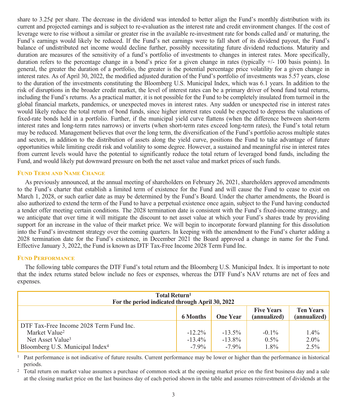share to 3.25 $\phi$  per share. The decrease in the dividend was intended to better align the Fund's monthly distribution with its current and projected earnings and is subject to re-evaluation as the interest rate and credit environment changes. If the cost of leverage were to rise without a similar or greater rise in the available re-investment rate for bonds called and/ or maturing, the Fund's earnings would likely be reduced. If the Fund's net earnings were to fall short of its dividend payout, the Fund's balance of undistributed net income would decline further, possibly necessitating future dividend reductions. Maturity and duration are measures of the sensitivity of a fund's portfolio of investments to changes in interest rates. More specifically, duration refers to the percentage change in a bond's price for a given change in rates (typically +/- 100 basis points). In general, the greater the duration of a portfolio, the greater is the potential percentage price volatility for a given change in interest rates. As of April 30, 2022, the modified adjusted duration of the Fund's portfolio of investments was 5.57 years, close to the duration of the investments constituting the Bloomberg U.S. Municipal Index, which was 6.1 years. In addition to the risk of disruptions in the broader credit market, the level of interest rates can be a primary driver of bond fund total returns, including the Fund's returns. As a practical matter, it is not possible for the Fund to be completely insulated from turmoil in the global financial markets, pandemics, or unexpected moves in interest rates. Any sudden or unexpected rise in interest rates would likely reduce the total return of bond funds, since higher interest rates could be expected to depress the valuations of fixed-rate bonds held in a portfolio. Further, if the municipal yield curve flattens (when the difference between short-term interest rates and long-term rates narrows) or inverts (when short-term rates exceed long-term rates), the Fund's total return may be reduced. Management believes that over the long term, the diversification of the Fund's portfolio across multiple states and sectors, in addition to the distribution of assets along the yield curve, positions the Fund to take advantage of future opportunities while limiting credit risk and volatility to some degree. However, a sustained and meaningful rise in interest rates from current levels would have the potential to significantly reduce the total return of leveraged bond funds, including the Fund, and would likely put downward pressure on both the net asset value and market prices of such funds.

#### **FUND TERM AND NAME CHANGE**

As previously announced, at the annual meeting of shareholders on February 26, 2021, shareholders approved amendments to the Fund's charter that establish a limited term of existence for the Fund and will cause the Fund to cease to exist on March 1, 2028, or such earlier date as may be determined by the Fund's Board. Under the charter amendments, the Board is also authorized to extend the term of the Fund to have a perpetual existence once again, subject to the Fund having conducted a tender offer meeting certain conditions. The 2028 termination date is consistent with the Fund's fixed-income strategy, and we anticipate that over time it will mitigate the discount to net asset value at which your Fund's shares trade by providing support for an increase in the value of their market price. We will begin to incorporate forward planning for this dissolution into the Fund's investment strategy over the coming quarters. In keeping with the amendment to the Fund's charter adding a 2028 termination date for the Fund's existence, in December 2021 the Board approved a change in name for the Fund. Effective January 3, 2022, the Fund is known as DTF Tax-Free Income 2028 Term Fund Inc.

#### **FUND PERFORMANCE**

The following table compares the DTF Fund's total return and the Bloomberg U.S. Municipal Index. It is important to note that the index returns stated below include no fees or expenses, whereas the DTF Fund's NAV returns are net of fees and expenses.

| <b>Total Return</b> <sup>1</sup><br>For the period indicated through April 30, 2022                         |           |           |          |         |  |
|-------------------------------------------------------------------------------------------------------------|-----------|-----------|----------|---------|--|
| <b>Ten Years</b><br><b>Five Years</b><br>(annualized)<br><b>6 Months</b><br><b>One Year</b><br>(annualized) |           |           |          |         |  |
| DTF Tax-Free Income 2028 Term Fund Inc.                                                                     |           |           |          |         |  |
| Market Value <sup>2</sup>                                                                                   | $-12.2\%$ | $-13.5\%$ | $-0.1\%$ | $1.4\%$ |  |
| Net Asset Value <sup>3</sup>                                                                                | $-13.4\%$ | $-13.8\%$ | $0.5\%$  | $2.0\%$ |  |
| Bloomberg U.S. Municipal Index <sup>4</sup>                                                                 | $-7.9\%$  | $-7.9\%$  | $1.8\%$  | $2.5\%$ |  |

<sup>1</sup> Past performance is not indicative of future results. Current performance may be lower or higher than the performance in historical periods.

<sup>2</sup> Total return on market value assumes a purchase of common stock at the opening market price on the first business day and a sale at the closing market price on the last business day of each period shown in the table and assumes reinvestment of dividends at the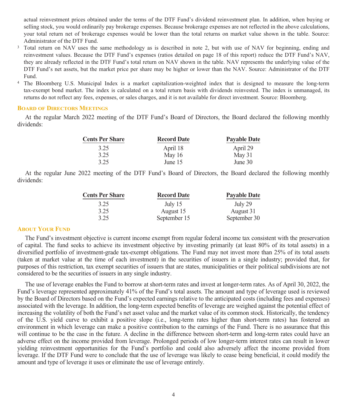actual reinvestment prices obtained under the terms of the DTF Fund's dividend reinvestment plan. In addition, when buying or selling stock, you would ordinarily pay brokerage expenses. Because brokerage expenses are not reflected in the above calculations, your total return net of brokerage expenses would be lower than the total returns on market value shown in the table. Source: Administrator of the DTF Fund.

- <sup>3</sup> Total return on NAV uses the same methodology as is described in note 2, but with use of NAV for beginning, ending and reinvestment values. Because the DTF Fund's expenses (ratios detailed on page 18 of this report) reduce the DTF Fund's NAV, they are already reflected in the DTF Fund's total return on NAV shown in the table. NAV represents the underlying value of the DTF Fund's net assets, but the market price per share may be higher or lower than the NAV. Source: Administrator of the DTF Fund.
- <sup>4</sup> The Bloomberg U.S. Municipal Index is a market capitalization-weighted index that is designed to measure the long-term tax-exempt bond market. The index is calculated on a total return basis with dividends reinvested. The index is unmanaged, its returns do not reflect any fees, expenses, or sales charges, and it is not available for direct investment. Source: Bloomberg.

#### **BOARD OF DIRECTORS MEETINGS**

At the regular March 2022 meeting of the DTF Fund's Board of Directors, the Board declared the following monthly dividends:

| <b>Cents Per Share</b> | <b>Record Date</b> | <b>Pavable Date</b> |
|------------------------|--------------------|---------------------|
| 3.25                   | April 18           | April 29            |
| 3.25                   | May $16$           | May 31              |
| 3.25                   | June $15$          | June $30$           |

At the regular June 2022 meeting of the DTF Fund's Board of Directors, the Board declared the following monthly dividends:

| <b>Cents Per Share</b> | <b>Record Date</b> | <b>Payable Date</b> |
|------------------------|--------------------|---------------------|
| 3.25                   | July $15$          | July 29             |
| 3.25                   | August 15          | August 31           |
| 3.25                   | September 15       | September 30        |

#### **ABOUT YOUR FUND**

The Fund's investment objective is current income exempt from regular federal income tax consistent with the preservation of capital. The fund seeks to achieve its investment objective by investing primarily (at least 80% of its total assets) in a diversified portfolio of investment-grade tax-exempt obligations. The Fund may not invest more than 25% of its total assets (taken at market value at the time of each investment) in the securities of issuers in a single industry; provided that, for purposes of this restriction, tax exempt securities of issuers that are states, municipalities or their political subdivisions are not considered to be the securities of issuers in any single industry.

The use of leverage enables the Fund to borrow at short-term rates and invest at longer-term rates. As of April 30, 2022, the Fund's leverage represented approximately 41% of the Fund's total assets. The amount and type of leverage used is reviewed by the Board of Directors based on the Fund's expected earnings relative to the anticipated costs (including fees and expenses) associated with the leverage. In addition, the long-term expected benefits of leverage are weighed against the potential effect of increasing the volatility of both the Fund's net asset value and the market value of its common stock. Historically, the tendency of the U.S. yield curve to exhibit a positive slope (i.e., long-term rates higher than short-term rates) has fostered an environment in which leverage can make a positive contribution to the earnings of the Fund. There is no assurance that this will continue to be the case in the future. A decline in the difference between short-term and long-term rates could have an adverse effect on the income provided from leverage. Prolonged periods of low longer-term interest rates can result in lower yielding reinvestment opportunities for the Fund's portfolio and could also adversely affect the income provided from leverage. If the DTF Fund were to conclude that the use of leverage was likely to cease being beneficial, it could modify the amount and type of leverage it uses or eliminate the use of leverage entirely.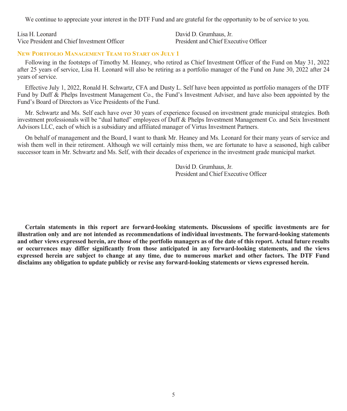We continue to appreciate your interest in the DTF Fund and are grateful for the opportunity to be of service to you.

Lisa H. Leonard Vice President and Chief Investment Officer David D. Grumhaus, Jr. President and Chief Executive Officer

#### **NEW PORTFOLIO MANAGEMENT TEAM TO START ON JULY 1**

Following in the footsteps of Timothy M. Heaney, who retired as Chief Investment Officer of the Fund on May 31, 2022 after 25 years of service, Lisa H. Leonard will also be retiring as a portfolio manager of the Fund on June 30, 2022 after 24 years of service.

Effective July 1, 2022, Ronald H. Schwartz, CFA and Dusty L. Self have been appointed as portfolio managers of the DTF Fund by Duff & Phelps Investment Management Co., the Fund's Investment Adviser, and have also been appointed by the Fund's Board of Directors as Vice Presidents of the Fund.

Mr. Schwartz and Ms. Self each have over 30 years of experience focused on investment grade municipal strategies. Both investment professionals will be "dual hatted" employees of Duff & Phelps Investment Management Co. and Seix Investment Advisors LLC, each of which is a subsidiary and affiliated manager of Virtus Investment Partners.

On behalf of management and the Board, I want to thank Mr. Heaney and Ms. Leonard for their many years of service and wish them well in their retirement. Although we will certainly miss them, we are fortunate to have a seasoned, high caliber successor team in Mr. Schwartz and Ms. Self, with their decades of experience in the investment grade municipal market.

> David D. Grumhaus, Jr. President and Chief Executive Officer

**Certain statements in this report are forward-looking statements. Discussions of specific investments are for illustration only and are not intended as recommendations of individual investments. The forward-looking statements and other views expressed herein, are those of the portfolio managers as of the date of this report. Actual future results or occurrences may differ significantly from those anticipated in any forward-looking statements, and the views expressed herein are subject to change at any time, due to numerous market and other factors. The DTF Fund disclaims any obligation to update publicly or revise any forward-looking statements or views expressed herein.**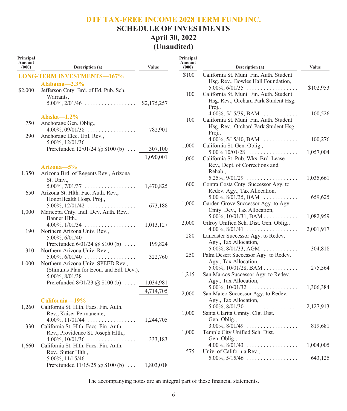## **SCHEDULE OF INVESTMENTS April 30, 2022 (Unaudited)**

| Principal<br>Amount<br>(000) | Description (a)                                                    | Value     | Principal<br>Amount<br>(000) | Description (a)                                                                 | Value     |
|------------------------------|--------------------------------------------------------------------|-----------|------------------------------|---------------------------------------------------------------------------------|-----------|
|                              | <b>LONG-TERM INVESTMENTS-167%</b>                                  |           | \$100                        | California St. Muni. Fin. Auth. Student                                         |           |
|                              | Alabama $-2.3\%$                                                   |           |                              | Hsg. Rev., Bowles Hall Foundation,                                              |           |
| \$2,000                      | Jefferson Cnty. Brd. of Ed. Pub. Sch.                              |           |                              | $5.00\%, 6/01/35 \dots \dots \dots \dots \dots \dots$                           | \$102,953 |
|                              | Warrants,                                                          |           | 100                          | California St. Muni. Fin. Auth. Student                                         |           |
|                              |                                                                    |           |                              | Hsg. Rev., Orchard Park Student Hsg.<br>Proj.,                                  |           |
|                              | Alaska $-1.2\%$                                                    |           | 100                          | 4.00%, $5/15/39$ , BAM                                                          | 100,526   |
| 750                          | Anchorage Gen. Oblig.,                                             |           |                              | California St. Muni. Fin. Auth. Student<br>Hsg. Rev., Orchard Park Student Hsg. |           |
|                              | $4.00\%, 09/01/38 \dots \dots \dots \dots \dots$                   | 782,901   |                              | Proj.,                                                                          |           |
| 290                          | Anchorage Elec. Util. Rev.,                                        |           |                              | $4.00\%$ , 5/15/40, BAM                                                         | 100,276   |
|                              | 5.00%, 12/01/36                                                    |           | 1,000                        | California St. Gen. Oblig.,                                                     |           |
|                              | Prerefunded $12/01/24$ ( $\hat{\omega}$ , \$100 (b)                | 307,100   |                              | $5.00\%$ 10/01/28                                                               | 1,057,004 |
|                              |                                                                    | 1,090,001 | 1,000                        | California St. Pub. Wks. Brd. Lease                                             |           |
|                              |                                                                    |           |                              | Rev., Dept. of Corrections and                                                  |           |
|                              | Arizona-5%                                                         |           |                              | Rehab.,                                                                         |           |
| 1,350                        | Arizona Brd. of Regents Rev., Arizona                              |           |                              | $5.25\%, 9/01/29 \ldots \ldots \ldots \ldots \ldots$                            | 1,035,661 |
|                              | St. Univ.,<br>$5.00\%, 7/01/37 \ldots \ldots \ldots \ldots \ldots$ | 1,470,825 | 600                          | Contra Costa Cnty. Successor Agy. to                                            |           |
| 650                          | Arizona St. Hlth. Fac. Auth. Rev.,                                 |           |                              | Redev. Agy., Tax Allocation,                                                    |           |
|                              | HonorHealth Hosp. Proj.,                                           |           |                              | 5.00%, $8/01/35$ , BAM                                                          | 659,625   |
|                              | $5.00\%$ , $12/01/42$                                              | 673,188   | 1,000                        | Garden Grove Successor Agy. to Agy.                                             |           |
| 1,000                        | Maricopa Cnty. Indl. Dev. Auth. Rev.,                              |           |                              | Cmty. Dev., Tax Allocation,                                                     |           |
|                              | Banner Hlth.,                                                      |           |                              | 5.00%, $10/01/31$ , BAM                                                         | 1,082,959 |
|                              | $4.00\%, 1/01/34 \ldots \ldots \ldots \ldots \ldots$               | 1,013,127 | 2,000                        | Gilroy Unified Sch. Dist. Gen. Oblig.,                                          |           |
| 190                          | Northern Arizona Univ. Rev.,                                       |           |                              | $4.00\%$ , $8/01/41$                                                            | 2,001,917 |
|                              | 5.00%, 6/01/40                                                     |           | 280                          | Lancaster Successor Agy. to Redev.                                              |           |
|                              | Prerefunded $6/01/24$ ( $\omega$ \$100 (b)                         | 199,824   |                              | Agy., Tax Allocation,                                                           |           |
| 310                          | Northern Arizona Univ. Rev.,                                       |           |                              | 5.00%, $8/01/33$ , AGM                                                          | 304,818   |
|                              | $5.00\%, 6/01/40 \dots \dots \dots \dots \dots \dots$              | 322,760   | 250                          | Palm Desert Successor Agy. to Redev.                                            |           |
| 1,000                        | Northern Arizona Univ. SPEED Rev.,                                 |           |                              | Agy., Tax Allocation,                                                           |           |
|                              | (Stimulus Plan for Econ. and Edl. Dev.),                           |           |                              | 5.00%, $10/01/28$ , BAM                                                         | 275,564   |
|                              | 5.00%, 8/01/38                                                     |           | 1,215                        | San Marcos Successor Agy. to Redev.                                             |           |
|                              | Prerefunded $8/01/23$ (a) $$100$ (b)                               | 1,034,981 |                              | Agy., Tax Allocation,                                                           |           |
|                              |                                                                    | 4,714,705 | 2,000                        | 5.00%, $10/01/32$<br>San Mateo Successor Agy. to Redev.                         | 1,306,384 |
|                              |                                                                    |           |                              | Agy., Tax Allocation,                                                           |           |
| 1,260                        | California-19%<br>California St. Hlth. Facs. Fin. Auth.            |           |                              | $5.00\%, 8/01/30 \ldots \ldots \ldots \ldots \ldots$                            | 2,127,913 |
|                              | Rev., Kaiser Permanente,                                           |           | 1,000                        | Santa Clarita Cmnty. Clg. Dist.                                                 |           |
|                              | 4.00%, $11/01/44$                                                  | 1,244,705 |                              | Gen. Oblig.,                                                                    |           |
| 330                          | California St. Hlth. Facs. Fin. Auth.                              |           |                              | $3.00\%, 8/01/49 \ldots \ldots \ldots \ldots \ldots$                            | 819,681   |
|                              | Rev., Providence St. Joseph Hlth.,                                 |           | 1,000                        | Temple City Unified Sch. Dist.                                                  |           |
|                              | 4.00%, $10/01/36$                                                  | 333,183   |                              | Gen. Oblig.,                                                                    |           |
| 1,660                        | California St. Hlth. Facs. Fin. Auth.                              |           |                              | $4.00\%, 8/01/43 \ldots \ldots \ldots \ldots \ldots$                            | 1,004,005 |
|                              | Rev., Sutter Hlth.,                                                |           | 575                          | Univ. of California Rev.,                                                       |           |
|                              | 5.00%, 11/15/46                                                    |           |                              | $5.00\%, 5/15/46 \ldots \ldots \ldots \ldots \ldots$                            | 643,125   |
|                              | Prerefunded $11/15/25$ @ \$100 (b)                                 | 1,803,018 |                              |                                                                                 |           |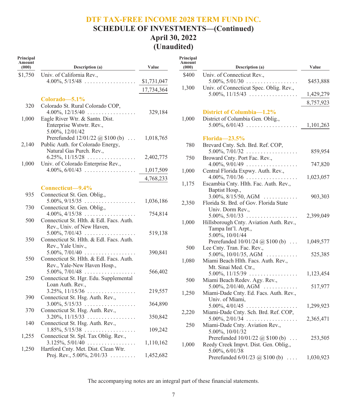## **SCHEDULE OF INVESTMENTS—(Continued) April 30, 2022 (Unaudited)**

| Principal<br>Amount<br>(000) | Description (a)                                                                          | Value       |
|------------------------------|------------------------------------------------------------------------------------------|-------------|
| \$1,750                      | Univ. of California Rev.,                                                                |             |
|                              | $4.00\%, 5/15/48 \dots \dots \dots \dots \dots \dots$                                    | \$1,731,047 |
|                              |                                                                                          | 17,734,364  |
|                              |                                                                                          |             |
|                              | Colorado—5.1%                                                                            |             |
| 320                          | Colorado St. Rural Colorado COP,                                                         |             |
|                              | $4.00\%, 12/15/40 \dots \dots \dots \dots \dots$                                         | 329,184     |
| 1,000                        | Eagle River Wtr. & Santn. Dist.                                                          |             |
|                              | Enterprise Wstwtr. Rev.,<br>5.00%, 12/01/42                                              |             |
|                              | Prerefunded $12/01/22$ @ \$100 (b)                                                       | 1,018,765   |
| 2,140                        | Public Auth. for Colorado Energy,                                                        |             |
|                              | Natural Gas Purch. Rev.,                                                                 |             |
|                              | $6.25\%, 11/15/28 \ldots \ldots \ldots \ldots \ldots$                                    | 2,402,775   |
| 1,000                        | Univ. of Colorado Enterprise Rev.,                                                       |             |
|                              | $4.00\%, 6/01/43 \dots \dots \dots \dots \dots \dots$                                    | 1,017,509   |
|                              |                                                                                          | 4,768,233   |
|                              | Connecticut-9.4%                                                                         |             |
| 935                          | Connecticut St. Gen. Oblig.,                                                             |             |
|                              | $5.00\%, 9/15/35 \dots \dots \dots \dots \dots \dots$                                    | 1,036,186   |
| 730                          | Connecticut St. Gen. Oblig.,                                                             |             |
|                              | $4.00\%, 4/15/38 \dots \dots$<br>.                                                       | 754,814     |
| 500                          | Connecticut St. Hlth. & Edl. Facs. Auth.                                                 |             |
|                              | Rev., Univ. of New Haven,                                                                |             |
|                              | $5.00\%, 7/01/43 \ldots \ldots \ldots \ldots \ldots$                                     | 519,138     |
| 350                          | Connecticut St. Hlth. & Edl. Facs. Auth.                                                 |             |
|                              | Rev., Yale Univ.,<br>$5.00\%, 7/01/40 \ldots \ldots \ldots \ldots \ldots$                |             |
| 550                          | Connecticut St. Hlth. & Edl. Facs. Auth.                                                 | 390,841     |
|                              | Rev., Yale-New Haven Hosp.,                                                              |             |
|                              | 5.00%, 7/01/48                                                                           | 566,402     |
| 250                          | Connecticut St. Hgr. Edu. Supplemental                                                   |             |
|                              | Loan Auth. Rev.,                                                                         |             |
|                              | $3.25\%, 11/15/36 \ldots \ldots \ldots \ldots \ldots$                                    | 219,557     |
| 390                          | Connecticut St. Hsg. Auth. Rev.,                                                         |             |
|                              | $3.00\%, 5/15/33 \dots \dots \dots \dots \dots \dots$                                    | 364,890     |
| 370                          | Connecticut St. Hsg. Auth. Rev.,                                                         |             |
| 140                          | $3.20\%, 11/15/33 \ldots \ldots \ldots \ldots \ldots$                                    | 350,842     |
|                              | Connecticut St. Hsg. Auth. Rev.,<br>$1.85\%, 5/15/38 \ldots \ldots \ldots \ldots \ldots$ | 109,242     |
| 1,255                        | Connecticut St. Spl. Tax Oblig. Rev.,                                                    |             |
|                              | $3.125\%, 5/01/40 \ldots \ldots \ldots \ldots$                                           | 1,110,162   |
| 1,250                        | Hartford Cnty. Met. Dist. Clean Wtr.                                                     |             |
|                              | Proj. Rev., $5.00\%$ , $2/01/33$                                                         | 1,452,682   |

| Principal<br>Amount<br>(000) | Description (a)                                                                                                         | Value     |
|------------------------------|-------------------------------------------------------------------------------------------------------------------------|-----------|
| \$400                        | Univ. of Connecticut Rev.,<br>$5.00\%, 5/01/30 \dots \dots \dots \dots \dots \dots$                                     | \$453,888 |
| 1,300                        | Univ. of Connecticut Spec. Oblig. Rev.,<br>$5.00\%$ , $11/15/43$                                                        | 1,429,279 |
|                              |                                                                                                                         | 8,757,923 |
| 1,000                        | District of Columbia-1.2%<br>District of Columbia Gen. Oblig.,<br>$5.00\%, 6/01/43 \dots \dots \dots \dots \dots \dots$ | 1,101,263 |
| 780                          | $Florida - 23.5%$<br>Brevard Cnty. Sch. Brd. Ref. COP,<br>$5.00\%, 7/01/32 \ldots \ldots \ldots \ldots \ldots$          | 859,954   |
| 750                          | Broward Cnty. Port Fac. Rev.,                                                                                           |           |
| 1,000                        | $4.00\%, 9/01/49 \dots \dots \dots \dots \dots \dots$<br>Central Florida Expwy. Auth. Rev.,                             | 747,820   |
|                              | $4.00\%, 7/01/36 \ldots \ldots \ldots \ldots \ldots$                                                                    | 1,023,057 |
| 1,175                        | Escambia Cnty. Hlth. Fac. Auth. Rev.,<br>Baptist Hosp.,                                                                 |           |
| 2,350                        | $3.00\%, 8/15/50, AGM$<br>Florida St. Brd. of Gov. Florida State                                                        | 903,303   |
|                              | Univ. Dorm Rev.,<br>$5.00\%, 5/01/33 \dots \dots \dots \dots \dots \dots$                                               | 2,399,049 |
| 1,000                        | Hillsborough Cnty. Aviation Auth. Rev.,<br>Tampa Int'l. Arpt.,<br>5.00%, 10/01/44                                       |           |
|                              | Prerefunded $10/01/24$ @ \$100 (b)                                                                                      | 1,049,577 |
| 500                          | Lee Cnty. Tran. Fac. Rev.,<br>5.00%, 10/01/35, AGM<br>.                                                                 | 525,385   |
| 1,080                        | Miami Beach Hlth. Facs. Auth. Rev.,<br>Mt. Sinai Med. Ctr.,                                                             |           |
| 500                          | $5.00\%, 11/15/39 \ldots \ldots \ldots \ldots \ldots$<br>Miami Beach Redev. Agy. Rev.,                                  | 1,123,454 |
|                              | $5.00\%, 2/01/40, AGM \dots \dots \dots$                                                                                | 517,977   |
| 1,250                        | Miami-Dade Cnty. Ed. Facs. Auth. Rev.,<br>Univ. of Miami,                                                               |           |
| 2,220                        | $5.00\%, 4/01/45 \ldots \ldots \ldots \ldots \ldots$<br>Miami-Dade Cnty. Sch. Brd. Ref. COP,                            | 1,299,923 |
|                              | $5.00\%, 2/01/34 \ldots \ldots \ldots \ldots \ldots$                                                                    | 2,365,471 |
| 250                          | Miami-Dade Cnty. Aviation Rev.,<br>5.00%, 10/01/32<br>Prerefunded $10/01/22$ @ \$100 (b)                                | 253,505   |
| 1,000                        | Reedy Creek Impvt. Dist. Gen. Oblig.,<br>5.00%, 6/01/38                                                                 |           |
|                              | Prerefunded $6/01/23$ @ \$100 (b)                                                                                       | 1,030,923 |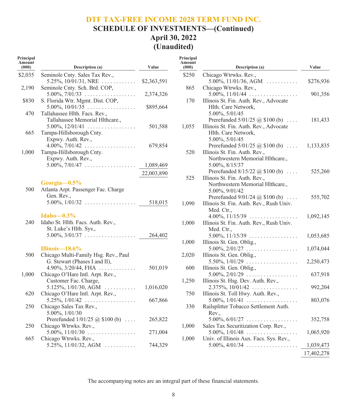## **DTF TAX-FREE INCOME 2028 TERM FUND INC. SCHEDULE OF INVESTMENTS—(Continued) April 30, 2022 (Unaudited)**

| Principal<br>Amount<br>(000) | <b>Description</b> (a)                                      | Value       |
|------------------------------|-------------------------------------------------------------|-------------|
| \$2,035                      | Seminole Cnty. Sales Tax Rev.,                              |             |
|                              | 5.25%, $10/01/31$ , NRE                                     | \$2,363,591 |
| 2,190                        | Seminole Cnty. Sch. Brd. COP,                               |             |
|                              | $5.00\%, 7/01/33 \ldots \ldots \ldots \ldots \ldots$        | 2,374,326   |
| \$830                        | S. Florida Wtr. Mgmt. Dist. COP,                            |             |
|                              | $5.00\%$ , $10/01/35$                                       | \$895,664   |
| 470                          | Tallahassee Hlth. Facs. Rev.,                               |             |
|                              | Tallahassee Memorial Hlthcare.,                             |             |
|                              | 5.00%, $12/01/41$                                           | 501,588     |
| 665                          | Tampa-Hillsborough Cnty.                                    |             |
|                              | Expwy. Auth. Rev.,                                          |             |
|                              | $4.00\%, 7/01/42 \ldots \ldots \ldots \ldots \ldots$        | 679,854     |
| 1,000                        | Tampa-Hillsborough Cnty.                                    |             |
|                              | Expwy. Auth. Rev.,                                          |             |
|                              | $5.00\%, 7/01/47 \ldots \ldots \ldots \ldots \ldots$        | 1,089,469   |
|                              |                                                             | 22,003,890  |
|                              | Georgia-0.5%                                                |             |
| 500                          | Atlanta Arpt. Passenger Fac. Charge                         |             |
|                              | Gen. Rev.,                                                  |             |
|                              | $5.00\%, 1/01/32 \dots \dots \dots \dots \dots \dots$       | 518,015     |
|                              |                                                             |             |
|                              | Idaho $-0.3\%$                                              |             |
| 240                          | Idaho St. Hlth. Facs. Auth. Rev.,                           |             |
|                              | St. Luke's Hlth. Sys.,                                      |             |
|                              | $5.00\%, 3/01/37 \ldots \ldots \ldots \ldots \ldots$        | 264,402     |
|                              |                                                             |             |
|                              | Illinois-18.6%                                              |             |
| 500                          | Chicago Multi-Family Hsg. Rev., Paul                        |             |
|                              | G. Stewart (Phases I and II),                               |             |
|                              | $4.90\%, 3/20/44, \text{FHA} \dots \dots \dots \dots$       | 501,019     |
| 1,000                        | Chicago O'Hare Intl. Arpt. Rev.,                            |             |
|                              | Customer Fac. Charge,                                       |             |
| 620                          | 5.125%, $1/01/30$ , AGM<br>Chicago O'Hare Intl. Arpt. Rev., | 1,016,020   |
|                              | $5.25\%, 1/01/42 \ldots \ldots \ldots \ldots \ldots$        | 667,866     |
| 250                          | Chicago Sales Tax Rev.,                                     |             |
|                              | 5.00%, 1/01/30                                              |             |
|                              | Prerefunded $1/01/25$ (a) \$100 (b)                         | 265,822     |
| 250                          | Chicago Wtrwks. Rev.,                                       |             |
|                              | $5.00\%$ , $11/01/30$                                       | 271,004     |
| 665                          | Chicago Wtrwks. Rev.,                                       |             |
|                              | $5.25\%, 11/01/32, AGM$                                     | 744,329     |

| Principal<br>Amount<br>(000) | Description (a)                                               | Value      |
|------------------------------|---------------------------------------------------------------|------------|
| \$250                        | Chicago Wtrwks. Rev.,                                         |            |
|                              | $5.00\%, 11/01/36, AGM \dots \dots \dots$                     | \$276,936  |
| 865                          | Chicago Wtrwks. Rev.,                                         |            |
|                              | $5.00\%$ , $11/01/44$                                         | 901,356    |
| 170                          | Illinois St. Fin. Auth. Rev., Advocate                        |            |
|                              | Hlth. Care Network,                                           |            |
|                              | 5.00%, 5/01/45                                                |            |
|                              | Prerefunded $5/01/25$ @ \$100 (b)                             | 181,433    |
| 1,055                        | Illinois St. Fin. Auth. Rev., Advocate                        |            |
|                              | Hlth. Care Network,                                           |            |
|                              | 5.00%, 5/01/45                                                |            |
|                              | Prerefunded $5/01/25$ @ \$100 (b)                             | 1,133,835  |
| 520                          | Illinois St. Fin. Auth. Rev.,                                 |            |
|                              | Northwestern Memorial Hlthcare.,                              |            |
|                              | 5.00%, 8/15/37                                                |            |
|                              | Prerefunded $8/15/22$ @ \$100 (b)                             | 525,260    |
| 525                          | Illinois St. Fin. Auth. Rev.,                                 |            |
|                              | Northwestern Memorial Hlthcare.,                              |            |
|                              | 5.00%, 9/01/42                                                |            |
|                              | Prerefunded $9/01/24$ ( $\omega$ \$100 (b)                    | 555,702    |
| 1,090                        | Illinois St. Fin. Auth. Rev., Rush Univ.                      |            |
|                              | Med. Ctr                                                      |            |
|                              | $4.00\%, 11/15/39 \ldots \ldots \ldots \ldots \ldots$         | 1,092,145  |
| 1,000                        | Illinois St. Fin. Auth. Rev., Rush Univ.                      |            |
|                              | Med. Ctr.,                                                    |            |
|                              | $5.00\%, 11/15/39 \ldots \ldots \ldots \ldots \ldots$         | 1,053,685  |
| 1,000                        | Illinois St. Gen. Oblig.,                                     |            |
|                              | $5.00\%, 2/01/27 \ldots \ldots \ldots \ldots \ldots$          | 1,074,044  |
| 2,020                        | Illinois St. Gen. Oblig.,                                     |            |
|                              | $5.50\%, 1/01/29 \ldots \ldots \ldots \ldots \ldots$          | 2,250,473  |
| 600                          | Illinois St. Gen. Oblig.,                                     |            |
|                              | $5.00\%, 2/01/29 \dots \dots \dots \dots \dots \dots$         | 637,918    |
| 1,250                        | Illinois St. Hsg. Dev. Auth. Rev.,                            |            |
|                              | $2.375\%, 10/01/42 \ldots \ldots \ldots \ldots$               | 992,204    |
| 750                          | Illinois St. Toll Hwy. Auth. Rev.,                            |            |
|                              | $5.00\%, 1/01/41 \dots \dots \dots \dots \dots \dots$         | 803,076    |
| 330                          | Railsplitter Tobacco Settlement Auth.                         |            |
|                              | Rev.,<br>$5.00\%, 6/01/27 \ldots \ldots \ldots \ldots \ldots$ |            |
|                              | Sales Tax Securitization Corp. Rev.,                          | 352,758    |
| 1,000                        | $5.00\%, 1/01/48 \dots \dots \dots \dots \dots \dots$         | 1,065,920  |
| 1,000                        | Univ. of Illinois Aux. Facs. Sys. Rev.,                       |            |
|                              | $5.00\%$ , 4/01/34                                            | 1,039,473  |
|                              |                                                               |            |
|                              |                                                               | 17,402,278 |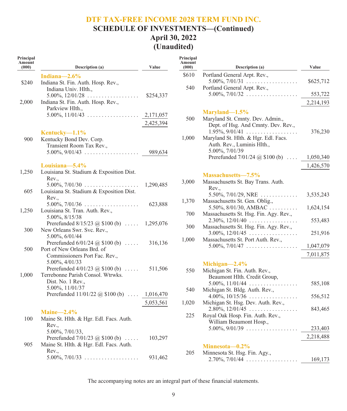## **DTF TAX-FREE INCOME 2028 TERM FUND INC. SCHEDULE OF INVESTMENTS—(Continued) April 30, 2022 (Unaudited)**

| Principal<br>Amount<br>(000) | Description (a)                                                                        | Value     | Principal<br>Amount<br>(000) |
|------------------------------|----------------------------------------------------------------------------------------|-----------|------------------------------|
|                              | Indiana— $2.6\%$                                                                       |           | \$610                        |
| \$240                        | Indiana St. Fin. Auth. Hosp. Rev.,                                                     |           |                              |
|                              | Indiana Univ. Hlth.,                                                                   |           | 540                          |
| 2,000                        | $5.00\%, 12/01/28 \dots \dots \dots \dots \dots$<br>Indiana St. Fin. Auth. Hosp. Rev., | \$254,337 |                              |
|                              | Parkview Hlth.,                                                                        |           |                              |
|                              | $5.00\%$ , $11/01/43$                                                                  | 2,171,057 |                              |
|                              |                                                                                        | 2,425,394 | 500                          |
|                              | Kentucky— $1.1\%$                                                                      |           |                              |
| 900                          | Kentucky Bond Dev. Corp.                                                               |           | 1,000                        |
|                              | Transient Room Tax Rev.,                                                               |           |                              |
|                              | $5.00\%$ , $9/01/43$                                                                   | 989,634   |                              |
|                              |                                                                                        |           |                              |
| 1,250                        | Louisiana-5.4%<br>Louisiana St. Stadium & Exposition Dist.                             |           |                              |
|                              | Rev.,                                                                                  |           |                              |
|                              | $5.00\%$ , $7/01/30$                                                                   | 1,290,485 | 3,000                        |
| 605                          | Louisiana St. Stadium & Exposition Dist.                                               |           |                              |
|                              | Rev.,                                                                                  |           | 1,370                        |
|                              | $5.00\%, 7/01/36 \ldots \ldots \ldots \ldots \ldots$                                   | 623,888   |                              |
| 1,250                        | Louisiana St. Tran. Auth. Rev.,<br>5.00%, 8/15/38                                      |           | 700                          |
|                              | Prerefunded $8/15/23$ @ \$100 (b)  1,295,076                                           |           |                              |
| 300                          | New Orleans Swr. Svc. Rev.,                                                            |           | 300                          |
|                              | 5.00%, 6/01/44                                                                         |           | 1,000                        |
|                              | Prerefunded $6/01/24$ (a) \$100 (b)                                                    | 316,136   |                              |
| 500                          | Port of New Orleans Brd. of                                                            |           |                              |
|                              | Commissioners Port Fac. Rev.,<br>5.00%, 4/01/33                                        |           |                              |
|                              | Prerefunded $4/01/23$ @ \$100 (b)                                                      | 511,506   | 550                          |
| 1,000                        | Terrebonne Parish Consol. Wtrwks.                                                      |           |                              |
|                              | Dist. No. 1 Rev.,                                                                      |           |                              |
|                              | 5.00%, 11/01/37                                                                        |           | 540                          |
|                              | Prerefunded $11/01/22$ @ \$100 (b)  1,016,470                                          |           |                              |
|                              |                                                                                        | 5,053,561 | 1,020                        |
|                              | $Maine\_2.4\%$                                                                         |           | 225                          |
| 100                          | Maine St. Hlth. & Hgr. Edl. Facs. Auth.                                                |           |                              |
|                              | Rev.,<br>5.00%, 7/01/33,                                                               |           |                              |
|                              | Prerefunded $7/01/23$ (a) \$100 (b)                                                    | 103,297   |                              |
| 905                          | Maine St. Hlth. & Hgr. Edl. Facs. Auth.                                                |           |                              |
|                              | Rev.,                                                                                  |           | 205                          |
|                              | $5.00\%$ , $7/01/33$                                                                   | 931,462   |                              |

| тшегран<br>Amount<br>(000) | Description (a)                                                                                                                                                                                                                           | Value     |
|----------------------------|-------------------------------------------------------------------------------------------------------------------------------------------------------------------------------------------------------------------------------------------|-----------|
| \$610                      | Portland General Arpt. Rev.,<br>$5.00\%, 7/01/31 \ldots \ldots \ldots \ldots \ldots$                                                                                                                                                      | \$625,712 |
| 540                        | Portland General Arpt. Rev.,                                                                                                                                                                                                              |           |
|                            | $5.00\%$ , $7/01/32$                                                                                                                                                                                                                      | 553,722   |
|                            |                                                                                                                                                                                                                                           | 2,214,193 |
| 500<br>1,000               | Maryland-1.5%<br>Maryland St. Cmnty. Dev. Admin.,<br>Dept. of Hsg. And Cmnty. Dev. Rev.,<br>$1.95\%, 9/01/41 \dots \dots \dots \dots \dots \dots$<br>Maryland St. Hlth. & Hgr. Edl. Facs.<br>Auth. Rev., Luminis Hlth.,<br>5.00%, 7/01/39 | 376,230   |
|                            | Prerefunded $7/01/24$ @ \$100 (b)<br>$\cdots$                                                                                                                                                                                             | 1,050,340 |
|                            |                                                                                                                                                                                                                                           | 1,426,570 |
| 3,000                      | Massachusetts-7.5%<br>Massachusetts St. Bay Trans. Auth.                                                                                                                                                                                  |           |
|                            | Rev.,<br>$5.50\%, 7/01/29, \text{NRE}$                                                                                                                                                                                                    | 3,535,243 |
| 1,370                      | Massachusetts St. Gen. Oblig.,<br>$5.50\%, 8/01/30, AMBAC$                                                                                                                                                                                | 1,624,154 |
| 700                        | Massachusetts St. Hsg. Fin. Agy. Rev.,<br>$2.30\%, 12/01/40 \dots \dots \dots \dots \dots$                                                                                                                                                | 553,483   |
| 300                        | Massachusetts St. Hsg. Fin. Agy. Rev.,<br>$3.00\%, 12/01/45 \ldots \ldots \ldots \ldots$                                                                                                                                                  | 251,916   |
| 1,000                      | Massachusetts St. Port Auth. Rev.,<br>$5.00\%, 7/01/47 \ldots \ldots \ldots \ldots \ldots$                                                                                                                                                | 1,047,079 |
|                            |                                                                                                                                                                                                                                           | 7,011,875 |
| 550                        | Michigan $-2.4\%$<br>Michigan St. Fin. Auth. Rev.,<br>Beaumont Hlth. Credit Group,                                                                                                                                                        |           |
|                            | $5.00\%, 11/01/44 \ldots \ldots \ldots \ldots$                                                                                                                                                                                            | 585,108   |
| 540                        | Michigan St. Bldg. Auth. Rev.,<br>$4.00\%, 10/15/36 \ldots \ldots \ldots \ldots \ldots$                                                                                                                                                   | 556,512   |
| 1,020                      | Michigan St. Hsg. Dev. Auth. Rev.,<br>$2.80\%, 12/01/45 \ldots \ldots \ldots \ldots$                                                                                                                                                      | 843,465   |
| 225                        | Royal Oak Hosp. Fin. Auth. Rev.,<br>William Beaumont Hosp.,                                                                                                                                                                               |           |
|                            | $5.00\%, 9/01/39 \dots \dots \dots \dots \dots \dots$                                                                                                                                                                                     | 233,403   |
|                            |                                                                                                                                                                                                                                           | 2,218,488 |
|                            | Minnesota-0.2%                                                                                                                                                                                                                            |           |
| 205                        | Minnesota St. Hsg. Fin. Agy.,<br>$2.70\%, 7/01/44 \ldots \ldots \ldots \ldots \ldots$                                                                                                                                                     | 169,173   |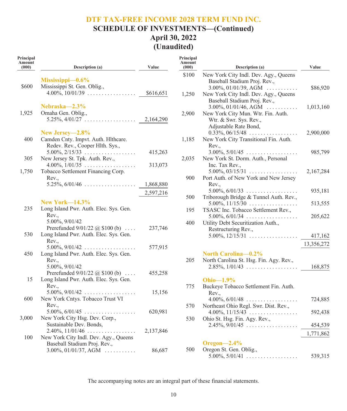## **SCHEDULE OF INVESTMENTS—(Continued) April 30, 2022 (Unaudited)**

| Principal<br>Amount<br>(000) | Description (a)                                               | Value     | Principal<br>Amount<br>(000) | Description (a)                                                       | Value      |
|------------------------------|---------------------------------------------------------------|-----------|------------------------------|-----------------------------------------------------------------------|------------|
|                              | $Mississippi—0.6\%$                                           |           | \$100                        | New York City Indl. Dev. Agy., Queens<br>Baseball Stadium Proj. Rev., |            |
| \$600                        | Mississippi St. Gen. Oblig.,                                  |           |                              | $3.00\%, 01/01/39, AGM$                                               | \$86,920   |
|                              | $4.00\%$ , $10/01/39$                                         | \$616,651 | 1,250                        | New York City Indl. Dev. Agy., Queens<br>Baseball Stadium Proj. Rev., |            |
|                              | Nebraska-2.3%                                                 |           |                              | $3.00\%, 01/01/46, AGM \dots \dots$                                   | 1,013,160  |
| 1,925                        | Omaha Gen. Oblig.,                                            |           | 2,900                        | New York City Mun. Wtr. Fin. Auth.                                    |            |
|                              | $5.25\%, 4/01/27 \ldots \ldots \ldots \ldots \ldots$          | 2,164,290 |                              | Wtr. & Swr. Sys. Rev.,                                                |            |
|                              |                                                               |           |                              | Adjustable Rate Bond,                                                 |            |
|                              | New Jersey-2.8%                                               |           |                              | $0.33\%, 06/15/48 \ldots \ldots \ldots \ldots$                        | 2,900,000  |
| 400                          | Camden Cnty. Impvt. Auth. Hlthcare.                           |           | 1,185                        | New York City Transitional Fin. Auth.                                 |            |
|                              | Redev. Rev., Cooper Hlth. Sys.,                               |           |                              | Rev.,                                                                 |            |
|                              | $5.00\%$ , $2/15/33$                                          | 415,263   |                              | $3.00\%, 5/01/45 \dots \dots \dots \dots \dots \dots$                 | 985,799    |
| 305                          | New Jersey St. Tpk. Auth. Rev.,                               |           | 2,035                        | New York St. Dorm. Auth., Personal                                    |            |
|                              | $4.00\%, 1/01/35 \ldots \ldots \ldots \ldots \ldots$          | 313,073   |                              | Inc. Tax Rev.,                                                        |            |
| 1,750                        | Tobacco Settlement Financing Corp.                            |           | 900                          | $5.00\%, 03/15/31 \dots \dots \dots \dots \dots \dots$                | 2,167,284  |
|                              | Rev.,<br>$5.25\%, 6/01/46 \ldots \ldots \ldots \ldots \ldots$ | 1,868,880 |                              | Port Auth. of New York and New Jersey<br>Rev.,                        |            |
|                              |                                                               |           |                              | $5.00\%, 6/01/33 \dots \dots \dots \dots \dots \dots$                 | 935,181    |
|                              |                                                               | 2,597,216 | 500                          | Triborough Bridge & Tunnel Auth. Rev.,                                |            |
|                              | <b>New York–14.3%</b>                                         |           |                              | $5.00\%, 11/15/30 \dots \dots \dots \dots \dots$                      | 513,555    |
| 235                          | Long Island Pwr. Auth. Elec. Sys. Gen.                        |           | 195                          | TSASC Inc. Tobacco Settlement Rev.,                                   |            |
|                              | Rev.,                                                         |           |                              | $5.00\%, 6/01/34 \dots \dots \dots \dots \dots \dots$                 | 205,622    |
|                              | 5.00%, 9/01/42                                                |           | 400                          | Utility Debt Securitization Auth.,                                    |            |
|                              | Prerefunded $9/01/22$ @ \$100 (b)                             | 237,746   |                              | Restructuring Rev.,                                                   |            |
| 530                          | Long Island Pwr. Auth. Elec. Sys. Gen.                        |           |                              | $5.00\%$ , $12/15/31$                                                 | 417,162    |
|                              | Rev.,                                                         |           |                              |                                                                       | 13,356,272 |
|                              | $5.00\%, 9/01/42 \ldots \ldots \ldots \ldots \ldots$          | 577,915   |                              |                                                                       |            |
| 450                          | Long Island Pwr. Auth. Elec. Sys. Gen.                        |           |                              | North Carolina-0.2%                                                   |            |
|                              | Rev.,                                                         |           | 205                          | North Carolina St. Hsg. Fin. Agy. Rev.,                               |            |
|                              | 5.00%, 9/01/42                                                |           |                              | $2.85\%, 1/01/43 \dots \dots \dots \dots \dots \dots$                 | 168,875    |
|                              | Prerefunded $9/01/22$ @ \$100 (b)                             | 455,258   |                              |                                                                       |            |
| 15                           | Long Island Pwr. Auth. Elec. Sys. Gen.<br>Rev.,               |           |                              | Ohio $-1.9\%$                                                         |            |
|                              | $5.00\%, 9/01/42 \dots \dots \dots \dots \dots \dots$         | 15,156    | 775                          | Buckeye Tobacco Settlement Fin. Auth.                                 |            |
| 600                          | New York Cntys. Tobacco Trust VI                              |           |                              | Rev.<br>$4.00\%, 6/01/48 \dots \dots \dots \dots \dots \dots$         |            |
|                              | Rev.,                                                         |           | 570                          | Northeast Ohio Regl. Swr. Dist. Rev.,                                 | 724,885    |
|                              | $5.00\%$ , $6/01/45$                                          | 620,981   |                              | $4.00\%, 11/15/43 \ldots \ldots \ldots \ldots$                        | 592,438    |
| 3,000                        | New York City Hsg. Dev. Corp.,                                |           | 530                          | Ohio St. Hsg. Fin. Agy. Rev.,                                         |            |
|                              | Sustainable Dev. Bonds,                                       |           |                              | $2.45\%, 9/01/45 \ldots \ldots \ldots \ldots \ldots$                  | 454,539    |
|                              | $2.40\%, 11/01/46 \ldots \ldots \ldots \ldots$                | 2,137,846 |                              |                                                                       |            |
| 100                          | New York City Indl. Dev. Agy., Queens                         |           |                              |                                                                       | 1,771,862  |
|                              | Baseball Stadium Proj. Rev.,                                  |           |                              | Oregon $-2.4\%$                                                       |            |
|                              | $3.00\%, 01/01/37, AGM$                                       | 86,687    | 500                          | Oregon St. Gen. Oblig.,                                               |            |
|                              |                                                               |           |                              | $5.00\%$ , $5/01/41$                                                  | 539,315    |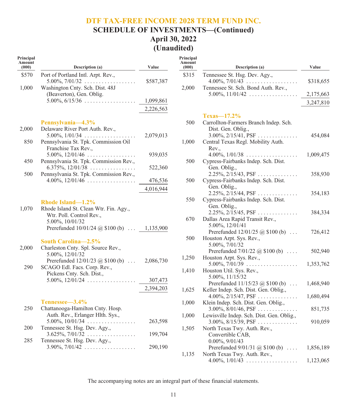## **DTF TAX-FREE INCOME 2028 TERM FUND INC. SCHEDULE OF INVESTMENTS—(Continued) April 30, 2022 (Unaudited)**

| Principal<br>Amount<br>(000) | <b>Description</b> (a)                                                                                                                                    | Value     |
|------------------------------|-----------------------------------------------------------------------------------------------------------------------------------------------------------|-----------|
| \$570<br>1,000               | Port of Portland Intl. Arpt. Rev.,<br>$5.00\%, 7/01/32 \ldots \ldots \ldots \ldots \ldots$<br>Washington Cnty. Sch. Dist. 48J                             | \$587,387 |
|                              | (Beaverton), Gen. Oblig.<br>$5.00\%, 6/15/36 \ldots \ldots \ldots \ldots \ldots$                                                                          | 1,099,861 |
|                              |                                                                                                                                                           | 2,226,563 |
| 2,000<br>850                 | Pennsylvania-4.3%<br>Delaware River Port Auth. Rev.,<br>5.00%, $1/01/34$<br>Pennsylvania St. Tpk. Commission Oil                                          | 2,079,013 |
| 450                          | Franchise Tax Rev.,<br>$5.00\%$ , $12/01/46$<br>Pennsylvania St. Tpk. Commission Rev.,                                                                    | 939,035   |
| 500                          | $6.375\%, 12/01/38 \dots \dots \dots \dots \dots$                                                                                                         | 522,360   |
|                              | Pennsylvania St. Tpk. Commission Rev.,<br>$4.00\%, 12/01/46 \ldots \ldots \ldots \ldots$                                                                  | 476,536   |
|                              |                                                                                                                                                           | 4,016,944 |
| 1,070                        | Rhode Island-1.2%<br>Rhode Island St. Clean Wtr. Fin. Agy.,<br>Wtr. Poll. Control Rev.,<br>5.00%, 10/01/32<br>Prerefunded 10/01/24 @ \$100 (b)  1,135,900 |           |
| 2,000                        | South Carolina-2.5%<br>Charleston Cnty. Spl. Source Rev.,<br>5.00%, 12/01/32                                                                              |           |
| 290                          | Prerefunded $12/01/23$ @ \$100 (b)<br>SCAGO Edl. Facs. Corp. Rev.,                                                                                        | 2,086,730 |
|                              | Pickens Cnty. Sch. Dist.,<br>$5.00\%, 12/01/24 \ldots \ldots \ldots \ldots$                                                                               | 307,473   |
|                              |                                                                                                                                                           | 2,394,203 |
| 250                          | Tennessee-3.4%<br>Chattanooga-Hamilton Cnty. Hosp.<br>Auth. Rev., Erlanger Hlth. Sys.,                                                                    |           |
| 200                          | $5.00\%, 10/01/34 \ldots \ldots \ldots \ldots \ldots$<br>Tennessee St. Hsg. Dev. Agy.,                                                                    | 263,598   |
| 285                          | $3.625\%, 7/01/32 \ldots \ldots \ldots \ldots$<br>Tennessee St. Hsg. Dev. Agy.,                                                                           | 199,704   |
|                              | $3.90\%, 7/01/42 \ldots \ldots \ldots \ldots \ldots$                                                                                                      | 290,190   |

| Principal<br>Amount<br>(000) | <b>Description</b> (a)                                                                                           | Value     |
|------------------------------|------------------------------------------------------------------------------------------------------------------|-----------|
| \$315                        | Tennessee St. Hsg. Dev. Agy.,<br>$4.00\%, 7/01/43 \ldots \ldots \ldots \ldots \ldots$                            | \$318,655 |
| 2,000                        | Tennessee St. Sch. Bond Auth. Rev.,<br>$5.00\%, 11/01/42 \ldots \ldots \ldots \ldots \ldots$                     | 2,175,663 |
|                              |                                                                                                                  | 3,247,810 |
|                              | $Texas=17.2\%$                                                                                                   |           |
| 500                          | Carrollton-Farmers Branch Indep. Sch.<br>Dist. Gen. Oblig.,<br>$3.00\%, 2/15/41, PSF \ldots$                     |           |
| 1,000                        | Central Texas Regl. Mobility Auth.<br>Rev.,                                                                      | 454,084   |
| 500                          | $4.00\%, 1/01/38 \ldots \ldots \ldots \ldots \ldots$<br>Cypress-Fairbanks Indep. Sch. Dist.<br>Gen. Oblig.,      | 1,009,475 |
| 500                          | $2.25\%, 2/15/43, PSF \ldots$<br>Cypress-Fairbanks Indep. Sch. Dist.                                             | 358,930   |
| 550                          | Gen. Oblig.,<br>$2.25\%, 2/\overline{15}/44, PSF \dots \dots \dots \dots$<br>Cypress-Fairbanks Indep. Sch. Dist. | 354,183   |
|                              | Gen. Oblig.,<br>$2.25\%, 2/\overline{1}5/45, PSF \dots \dots \dots \dots$                                        | 384,334   |
| 670                          | Dallas Area Rapid Transit Rev.,<br>5.00%, 12/01/41<br>Prerefunded $12/01/25$ (a) \$100 (b)                       |           |
| 500                          | Houston Arpt. Sys. Rev.,<br>5.00%, 7/01/32                                                                       | 726,412   |
|                              | Prerefunded $7/01/22$ @ \$100 (b)                                                                                | 502,940   |
| 1,250                        | Houston Arpt. Sys. Rev.,<br>$5.00\%, 7/01/39 \ldots \ldots \ldots \ldots \ldots$                                 | 1,353,762 |
| 1,410                        | Houston Util. Sys. Rev.,<br>5.00%, 11/15/32                                                                      |           |
| 1,625                        | Prerefunded 11/15/23 @ \$100 (b)<br>Keller Indep. Sch. Dist. Gen. Oblig.,                                        | 1,468,940 |
|                              | $4.00\%, 2/15/47, PSF \ldots$                                                                                    | 1,680,494 |
| 1,000                        | Klein Indep. Sch. Dist. Gen. Oblig.,<br>$3.00\%, 8/01/46, PSF \dots$                                             | 851,735   |
| 1,000                        | Lewisville Indep. Sch. Dist. Gen. Oblig.,<br>$3.00\%, 8/15/39, PSF \ldots$                                       | 910,059   |
| 1,505                        | North Texas Twy. Auth. Rev.,<br>Convertible CAB,<br>$0.00\%, 9/01/43$                                            |           |
| 1,135                        | Prerefunded $9/01/31$ ( $\omega$ \$100 (b)<br>North Texas Twy. Auth. Rev.,                                       | 1,856,189 |
|                              | $4.00\%, 1/01/43 \dots \dots \dots \dots \dots \dots$                                                            | 1,123,065 |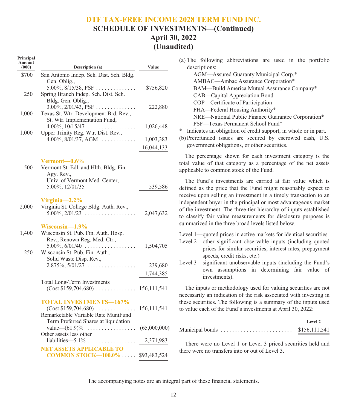#### **DTF TAX-FREE INCOME 2028 TERM FUND INC. SCHEDULE OF INVESTMENTS—(Continued)**

## **April 30, 2022 (Unaudited)**

| Principal<br>Amount<br>(000) | Description (a)                                                                                                                             | Value         |
|------------------------------|---------------------------------------------------------------------------------------------------------------------------------------------|---------------|
| \$700                        | San Antonio Indep. Sch. Dist. Sch. Bldg.<br>Gen. Oblig.,<br>5.00%, $8/15/38$ , PSF                                                          | \$756,820     |
| 250                          | Spring Branch Indep. Sch. Dist. Sch.<br>Bldg. Gen. Oblig.,<br>$3.00\%, 2/01/43, PSF \ldots$                                                 |               |
| 1,000                        | Texas St. Wtr. Development Brd. Rev.,<br>St. Wtr. Implementation Fund,                                                                      | 222,880       |
| 1,000                        | $4.00\%, 10/15/47 \ldots \ldots \ldots \ldots \ldots$<br>Upper Trinity Reg. Wtr. Dist. Rev.,                                                | 1,026,448     |
|                              | $4.00\%, 8/01/37, \text{AGM} \dots \dots \dots$                                                                                             | 1,003,383     |
|                              |                                                                                                                                             | 16,044,133    |
| 500                          | Vermont—0.6%<br>Vermont St. Edl. and Hlth. Bldg. Fin.<br>Agy. Rev.,                                                                         |               |
|                              | Univ. of Vermont Med. Center,<br>5.00%, 12/01/35                                                                                            | 539,586       |
| 2,000                        | Virginia $-2.2\%$<br>Virginia St. College Bldg. Auth. Rev.,<br>$5.00\%, 2/01/23 \dots \dots \dots \dots \dots \dots$                        | 2,047,632     |
| 1,400<br>250                 | Wisconsin-1.9%<br>Wisconsin St. Pub. Fin. Auth. Hosp.<br>Rev., Renown Reg. Med. Ctr.,<br>5.00%, $6/01/40$<br>Wisconsin St. Pub. Fin. Auth., | 1,504,705     |
|                              | Solid Waste Disp. Rev.,<br>$2.875\%, 5/01/27 \ldots \ldots \ldots \ldots$                                                                   | 239,680       |
|                              |                                                                                                                                             | 1,744,385     |
|                              | <b>Total Long-Term Investments</b>                                                                                                          |               |
|                              | <b>TOTAL INVESTMENTS-167%</b><br>$(Cost $159,704,680) \ldots$<br>Remarketable Variable Rate MuniFund                                        | 156, 111, 541 |
|                              | Term Preferred Shares at liquidation<br>value $-(61.9)\%$ $(65,000,000)$<br>Other assets less other                                         |               |
|                              |                                                                                                                                             | 2,371,983     |
|                              | <b>NET ASSETS APPLICABLE TO</b><br><b>COMMON STOCK-100.0%</b>                                                                               | \$93,483,524  |

- (a) The following abbreviations are used in the portfolio descriptions:
	- AGM—Assured Guaranty Municipal Corp.\* AMBAC—Ambac Assurance Corporation\* BAM—Build America Mutual Assurance Company\* CAB—Capital Appreciation Bond COP—Certificate of Participation FHA—Federal Housing Authority\* NRE—National Public Finance Guarantee Corporation\* PSF—Texas Permanent School Fund\*
- \* Indicates an obligation of credit support, in whole or in part.
- (b) Prerefunded issues are secured by escrowed cash, U.S. government obligations, or other securities.

The percentage shown for each investment category is the total value of that category as a percentage of the net assets applicable to common stock of the Fund.

The Fund's investments are carried at fair value which is defined as the price that the Fund might reasonably expect to receive upon selling an investment in a timely transaction to an independent buyer in the principal or most advantageous market of the investment. The three-tier hierarchy of inputs established to classify fair value measurements for disclosure purposes is summarized in the three broad levels listed below.

- Level 1—quoted prices in active markets for identical securities.
- Level 2—other significant observable inputs (including quoted prices for similar securities, interest rates, prepayment speeds, credit risks, etc.)
- Level 3—significant unobservable inputs (including the Fund's own assumptions in determining fair value of investments).

The inputs or methodology used for valuing securities are not necessarily an indication of the risk associated with investing in these securities. The following is a summary of the inputs used to value each of the Fund's investments at April 30, 2022:

|                 | Level 2       |
|-----------------|---------------|
| Municipal bonds | \$156,111,541 |

There were no Level 1 or Level 3 priced securities held and there were no transfers into or out of Level 3.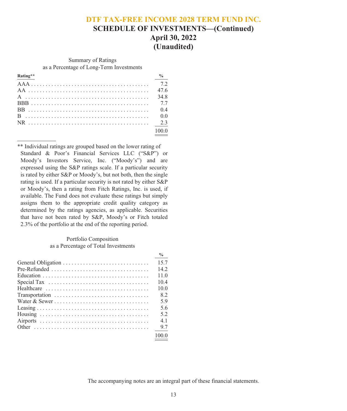## **DTF TAX-FREE INCOME 2028 TERM FUND INC. SCHEDULE OF INVESTMENTS—(Continued) April 30, 2022**

**(Unaudited)**

Summary of Ratings as a Percentage of Long-Term Investments

| 47.6 |
|------|
| 34.8 |
|      |
| 0.4  |
| 0.0  |
|      |
|      |

\*\* Individual ratings are grouped based on the lower rating of Standard & Poor's Financial Services LLC ("S&P") or Moody's Investors Service, Inc. ("Moody's") and are expressed using the S&P ratings scale. If a particular security is rated by either S&P or Moody's, but not both, then the single rating is used. If a particular security is not rated by either S&P or Moody's, then a rating from Fitch Ratings, Inc. is used, if available. The Fund does not evaluate these ratings but simply assigns them to the appropriate credit quality category as determined by the ratings agencies, as applicable. Securities that have not been rated by S&P, Moody's or Fitch totaled 2.3% of the portfolio at the end of the reporting period.

#### Portfolio Composition as a Percentage of Total Investments

|                                                                                       | $\frac{9}{6}$ |
|---------------------------------------------------------------------------------------|---------------|
|                                                                                       | 15.7          |
|                                                                                       | 14.2          |
|                                                                                       | 11.0          |
| Special Tax $\dots \dots \dots \dots \dots \dots \dots \dots \dots \dots \dots \dots$ | 10.4          |
| Healthcare $\ldots \ldots \ldots \ldots \ldots \ldots \ldots \ldots \ldots \ldots$    | 10.0          |
| Transportation                                                                        | 8.2           |
|                                                                                       | 5.9           |
|                                                                                       | 5.6           |
|                                                                                       | 5.2           |
|                                                                                       | 4.1           |
|                                                                                       | 9.7           |
|                                                                                       | 100.0         |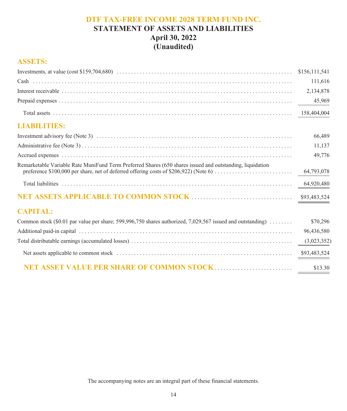## **DTF TAX-FREE INCOME 2028 TERM FUND INC. STATEMENT OF ASSETS AND LIABILITIES April 30, 2022 (Unaudited)**

## **ASSETS:**

|                                                                                                                                                                                                    | \$156,111,541 |
|----------------------------------------------------------------------------------------------------------------------------------------------------------------------------------------------------|---------------|
|                                                                                                                                                                                                    | 111,616       |
|                                                                                                                                                                                                    | 2,134,878     |
|                                                                                                                                                                                                    | 45,969        |
|                                                                                                                                                                                                    | 158,404,004   |
| <b>LIABILITIES:</b>                                                                                                                                                                                |               |
|                                                                                                                                                                                                    | 66,489        |
|                                                                                                                                                                                                    | 11,137        |
|                                                                                                                                                                                                    | 49,776        |
| Remarketable Variable Rate MuniFund Term Preferred Shares (650 shares issued and outstanding, liquidation<br>preference \$100,000 per share, net of deferred offering costs of \$206,922) (Note 6) | 64,793,078    |
|                                                                                                                                                                                                    | 64,920,480    |
|                                                                                                                                                                                                    | \$93,483,524  |
| <b>CAPITAL:</b>                                                                                                                                                                                    |               |
| Common stock (\$0.01 par value per share; 599,996,750 shares authorized, 7,029,567 issued and outstanding) $\ldots \ldots$                                                                         | \$70,296      |
|                                                                                                                                                                                                    | 96,436,580    |
|                                                                                                                                                                                                    | (3,023,352)   |
|                                                                                                                                                                                                    | \$93,483,524  |
|                                                                                                                                                                                                    | \$13.30       |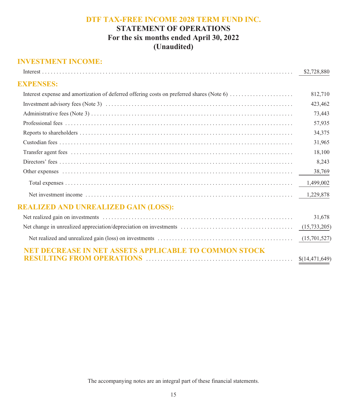## **STATEMENT OF OPERATIONS For the six months ended April 30, 2022 (Unaudited)**

## **INVESTMENT INCOME:**

|                                                                                           | \$2,728,880      |
|-------------------------------------------------------------------------------------------|------------------|
| <b>EXPENSES:</b>                                                                          |                  |
| Interest expense and amortization of deferred offering costs on preferred shares (Note 6) | 812,710          |
|                                                                                           | 423,462          |
|                                                                                           | 73,443           |
|                                                                                           | 57,935           |
|                                                                                           | 34,375           |
|                                                                                           | 31,965           |
|                                                                                           | 18,100           |
|                                                                                           | 8,243            |
|                                                                                           | 38,769           |
|                                                                                           | 1,499,002        |
|                                                                                           | 1,229,878        |
| <b>REALIZED AND UNREALIZED GAIN (LOSS):</b>                                               |                  |
|                                                                                           | 31,678           |
|                                                                                           | (15, 733, 205)   |
|                                                                                           | (15,701,527)     |
| <b>NET DECREASE IN NET ASSETS APPLICABLE TO COMMON STOCK</b>                              | \$(14, 471, 649) |
|                                                                                           |                  |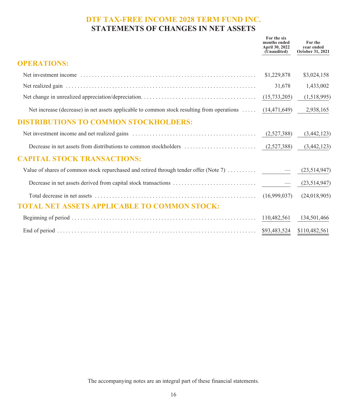## **DTF TAX-FREE INCOME 2028 TERM FUND INC. STATEMENTS OF CHANGES IN NET ASSETS**

|                                                                                                          | For the six<br>months ended<br>April 30, 2022<br>(Unaudited) | For the<br>vear ended<br>October 31, 2021 |
|----------------------------------------------------------------------------------------------------------|--------------------------------------------------------------|-------------------------------------------|
| <b>OPERATIONS:</b>                                                                                       |                                                              |                                           |
|                                                                                                          | \$1,229,878                                                  | \$3,024,158                               |
|                                                                                                          | 31,678                                                       | 1,433,002                                 |
|                                                                                                          |                                                              | (1,518,995)                               |
| Net increase (decrease) in net assets applicable to common stock resulting from operations  (14,471,649) |                                                              | 2,938,165                                 |
| <b>DISTRIBUTIONS TO COMMON STOCKHOLDERS:</b>                                                             |                                                              |                                           |
|                                                                                                          |                                                              | (3,442,123)                               |
|                                                                                                          |                                                              |                                           |
| <b>CAPITAL STOCK TRANSACTIONS:</b>                                                                       |                                                              |                                           |
|                                                                                                          |                                                              | (23,514,947)                              |
|                                                                                                          |                                                              |                                           |
|                                                                                                          |                                                              | (24,018,905)                              |
| <b>TOTAL NET ASSETS APPLICABLE TO COMMON STOCK:</b>                                                      |                                                              |                                           |
|                                                                                                          |                                                              | 134,501,466                               |
|                                                                                                          |                                                              |                                           |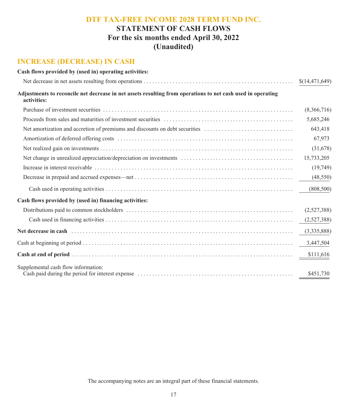## **STATEMENT OF CASH FLOWS For the six months ended April 30, 2022 (Unaudited)**

## **INCREASE (DECREASE) IN CASH**

| Cash flows provided by (used in) operating activities:                                                                                                                                                                         |                |
|--------------------------------------------------------------------------------------------------------------------------------------------------------------------------------------------------------------------------------|----------------|
|                                                                                                                                                                                                                                | \$(14,471,649) |
| Adjustments to reconcile net decrease in net assets resulting from operations to net cash used in operating<br>activities:                                                                                                     |                |
|                                                                                                                                                                                                                                | (8,366,716)    |
|                                                                                                                                                                                                                                | 5,685,246      |
| Net amortization and accretion of premiums and discounts on debt securities                                                                                                                                                    | 643,418        |
|                                                                                                                                                                                                                                | 67,973         |
|                                                                                                                                                                                                                                | (31,678)       |
|                                                                                                                                                                                                                                | 15,733,205     |
|                                                                                                                                                                                                                                | (19,749)       |
|                                                                                                                                                                                                                                | (48, 550)      |
|                                                                                                                                                                                                                                | (808, 500)     |
| Cash flows provided by (used in) financing activities:                                                                                                                                                                         |                |
|                                                                                                                                                                                                                                | (2,527,388)    |
|                                                                                                                                                                                                                                | (2,527,388)    |
| Net decrease in cash (all contains and contained all contains and contains a set of the set of the set of the set of the set of the set of the set of the set of the set of the set of the set of the set of the set of the se | (3,335,888)    |
|                                                                                                                                                                                                                                | 3,447,504      |
|                                                                                                                                                                                                                                | \$111,616      |
| Supplemental cash flow information:                                                                                                                                                                                            | \$451,730      |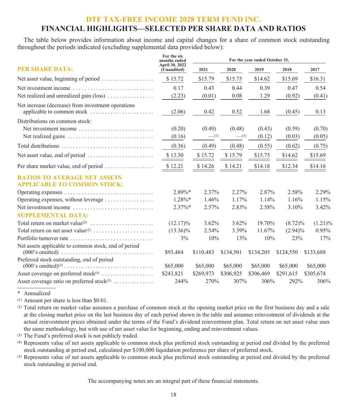## **FINANCIAL HIGHLIGHTS—SELECTED PER SHARE DATA AND RATIOS**

The table below provides information about income and capital changes for a share of common stock outstanding throughout the periods indicated (excluding supplemental data provided below):

|                                                                                  | For the six<br>months ended   | For the year ended October 31, |           |           |            |            |
|----------------------------------------------------------------------------------|-------------------------------|--------------------------------|-----------|-----------|------------|------------|
| <b>PER SHARE DATA:</b>                                                           | April 30, 2022<br>(Unaudited) | 2021                           | 2020      | 2019      | 2018       | 2017       |
| Net asset value, beginning of period                                             | \$15.72                       | \$15.79                        | \$15.75   | \$14.62   | \$15.69    | \$16.31    |
| Net investment income                                                            | 0.17                          | 0.43                           | 0.44      | 0.39      | 0.47       | 0.54       |
| Net realized and unrealized gain (loss)                                          | (2.23)                        | (0.01)                         | 0.08      | 1.29      | (0.92)     | (0.41)     |
| Net increase (decrease) from investment operations<br>applicable to common stock | (2.06)                        | 0.42                           | 0.52      | 1.68      | (0.45)     | 0.13       |
| Distributions on common stock:                                                   |                               |                                |           |           |            |            |
| Net investment income                                                            | (0.20)                        | (0.49)                         | (0.48)    | (0.43)    | (0.59)     | (0.70)     |
|                                                                                  | (0.16)                        | $-$ (1)                        | $-$ (1)   | (0.12)    | (0.03)     | (0.05)     |
|                                                                                  | (0.36)                        | (0.49)                         | (0.48)    | (0.55)    | (0.62)     | (0.75)     |
| Net asset value, end of period                                                   | \$13.30                       | \$15.72                        | \$15.79   | \$15.75   | \$14.62    | \$15.69    |
|                                                                                  | \$12.21                       | \$14.26                        | \$14.21   | \$14.18   | \$12.34    | \$14.16    |
| <b>RATIOS TO AVERAGE NET ASSETS</b><br><b>APPLICABLE TO COMMON STOCK:</b>        |                               |                                |           |           |            |            |
| Operating expenses                                                               | $2.89\%*$                     | 2.37%                          | 2.27%     | 2.87%     | 2.58%      | 2.29%      |
| Operating expenses, without leverage                                             | $1.28\%$ *                    | 1.46%                          | $1.17\%$  | 1.14%     | 1.16%      | 1.15%      |
| Net investment income                                                            | $2.37\%$ *                    | $2.57\%$                       | 2.83%     | 2.58%     | 3.10%      | 3.42%      |
| <b>SUPPLEMENTAL DATA:</b>                                                        |                               |                                |           |           |            |            |
| Total return on market value <sup>(2)</sup>                                      | $(12.17)\%$                   | $3.62\%$                       | $3.62\%$  | 19.70%    | $(8.72)\%$ | $(1.21)\%$ |
|                                                                                  | $(13.36)\%$                   | 2.54%                          | 3.39%     | 11.67%    | $(2.94)\%$ | $0.95\%$   |
| Portfolio turnover rate                                                          | 3%                            | 10%                            | 13%       | 10%       | 23%        | 17%        |
| Net assets applicable to common stock, end of period                             | \$93,484                      | \$110,483                      | \$134,501 | \$134,205 | \$124,550  | \$133,688  |
| Preferred stock outstanding, end of period<br>$(000)$ 's omitted) <sup>(3)</sup> | \$65,000                      | \$65,000                       | \$65,000  | \$65,000  | \$65,000   | \$65,000   |
| Asset coverage on preferred stock <sup>(4)</sup>                                 | \$243,821                     | \$269,973                      | \$306,925 | \$306,469 | \$291,615  | \$305,674  |
| Asset coverage ratio on preferred stock <sup>(5)</sup>                           | 244%                          | 270%                           | 307%      | 306%      | 292%       | 306%       |

\* Annualized

(1) Amount per share is less than \$0.01.

(2) Total return on market value assumes a purchase of common stock at the opening market price on the first business day and a sale at the closing market price on the last business day of each period shown in the table and assumes reinvestment of dividends at the actual reinvestment prices obtained under the terms of the Fund's dividend reinvestment plan. Total return on net asset value uses the same methodology, but with use of net asset value for beginning, ending and reinvestment values.

(3) The Fund's preferred stock is not publicly traded.

(4) Represents value of net assets applicable to common stock plus preferred stock outstanding at period end divided by the preferred stock outstanding at period end, calculated per \$100,000 liquidation preference per share of preferred stock.

(5) Represents value of net assets applicable to common stock plus preferred stock outstanding at period end divided by the preferred stock outstanding at period end.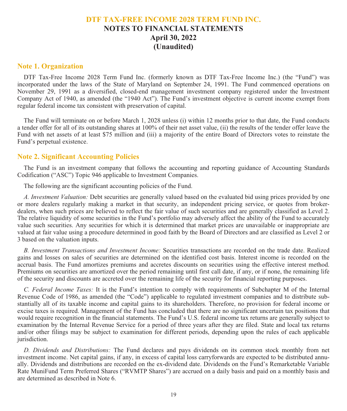## **DTF TAX-FREE INCOME 2028 TERM FUND INC. NOTES TO FINANCIAL STATEMENTS April 30, 2022 (Unaudited)**

#### **Note 1. Organization**

DTF Tax-Free Income 2028 Term Fund Inc. (formerly known as DTF Tax-Free Income Inc.) (the "Fund") was incorporated under the laws of the State of Maryland on September 24, 1991. The Fund commenced operations on November 29, 1991 as a diversified, closed-end management investment company registered under the Investment Company Act of 1940, as amended (the "1940 Act"). The Fund's investment objective is current income exempt from regular federal income tax consistent with preservation of capital.

The Fund will terminate on or before March 1, 2028 unless (i) within 12 months prior to that date, the Fund conducts a tender offer for all of its outstanding shares at 100% of their net asset value, (ii) the results of the tender offer leave the Fund with net assets of at least \$75 million and (iii) a majority of the entire Board of Directors votes to reinstate the Fund's perpetual existence.

#### **Note 2. Significant Accounting Policies**

The Fund is an investment company that follows the accounting and reporting guidance of Accounting Standards Codification ("ASC") Topic 946 applicable to Investment Companies.

The following are the significant accounting policies of the Fund.

*A. Investment Valuation:* Debt securities are generally valued based on the evaluated bid using prices provided by one or more dealers regularly making a market in that security, an independent pricing service, or quotes from brokerdealers, when such prices are believed to reflect the fair value of such securities and are generally classified as Level 2. The relative liquidity of some securities in the Fund's portfolio may adversely affect the ability of the Fund to accurately value such securities. Any securities for which it is determined that market prices are unavailable or inappropriate are valued at fair value using a procedure determined in good faith by the Board of Directors and are classified as Level 2 or 3 based on the valuation inputs.

*B. Investment Transactions and Investment Income:* Securities transactions are recorded on the trade date. Realized gains and losses on sales of securities are determined on the identified cost basis. Interest income is recorded on the accrual basis. The Fund amortizes premiums and accretes discounts on securities using the effective interest method. Premiums on securities are amortized over the period remaining until first call date, if any, or if none, the remaining life of the security and discounts are accreted over the remaining life of the security for financial reporting purposes.

*C. Federal Income Taxes:* It is the Fund's intention to comply with requirements of Subchapter M of the Internal Revenue Code of 1986, as amended (the "Code") applicable to regulated investment companies and to distribute substantially all of its taxable income and capital gains to its shareholders. Therefore, no provision for federal income or excise taxes is required. Management of the Fund has concluded that there are no significant uncertain tax positions that would require recognition in the financial statements. The Fund's U.S. federal income tax returns are generally subject to examination by the Internal Revenue Service for a period of three years after they are filed. State and local tax returns and/or other filings may be subject to examination for different periods, depending upon the rules of each applicable jurisdiction.

*D. Dividends and Distributions:* The Fund declares and pays dividends on its common stock monthly from net investment income. Net capital gains, if any, in excess of capital loss carryforwards are expected to be distributed annually. Dividends and distributions are recorded on the ex-dividend date. Dividends on the Fund's Remarketable Variable Rate MuniFund Term Preferred Shares ("RVMTP Shares") are accrued on a daily basis and paid on a monthly basis and are determined as described in Note 6.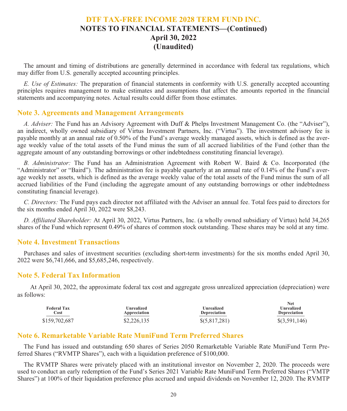## **DTF TAX-FREE INCOME 2028 TERM FUND INC. NOTES TO FINANCIAL STATEMENTS—(Continued) April 30, 2022 (Unaudited)**

The amount and timing of distributions are generally determined in accordance with federal tax regulations, which may differ from U.S. generally accepted accounting principles.

*E. Use of Estimates:* The preparation of financial statements in conformity with U.S. generally accepted accounting principles requires management to make estimates and assumptions that affect the amounts reported in the financial statements and accompanying notes. Actual results could differ from those estimates.

#### **Note 3. Agreements and Management Arrangements**

*A. Adviser:* The Fund has an Advisory Agreement with Duff & Phelps Investment Management Co. (the "Adviser"), an indirect, wholly owned subsidiary of Virtus Investment Partners, Inc. ("Virtus"). The investment advisory fee is payable monthly at an annual rate of 0.50% of the Fund's average weekly managed assets, which is defined as the average weekly value of the total assets of the Fund minus the sum of all accrued liabilities of the Fund (other than the aggregate amount of any outstanding borrowings or other indebtedness constituting financial leverage).

*B. Administrator:* The Fund has an Administration Agreement with Robert W. Baird & Co. Incorporated (the "Administrator" or "Baird"). The administration fee is payable quarterly at an annual rate of 0.14% of the Fund's average weekly net assets, which is defined as the average weekly value of the total assets of the Fund minus the sum of all accrued liabilities of the Fund (including the aggregate amount of any outstanding borrowings or other indebtedness constituting financial leverage).

*C. Directors:* The Fund pays each director not affiliated with the Adviser an annual fee. Total fees paid to directors for the six months ended April 30, 2022 were \$8,243.

*D. Affiliated Shareholder:* At April 30, 2022, Virtus Partners, Inc. (a wholly owned subsidiary of Virtus) held 34,265 shares of the Fund which represent 0.49% of shares of common stock outstanding. These shares may be sold at any time.

#### **Note 4. Investment Transactions**

Purchases and sales of investment securities (excluding short-term investments) for the six months ended April 30, 2022 were \$6,741,666, and \$5,685,246, respectively.

#### **Note 5. Federal Tax Information**

At April 30, 2022, the approximate federal tax cost and aggregate gross unrealized appreciation (depreciation) were as follows:

| <b>Federal Tax</b><br>Cost | <b>Unrealized</b><br>Appreciation | Unrealized<br><b>Depreciation</b> | 13 CL<br>Unrealized<br><b>Depreciation</b> |
|----------------------------|-----------------------------------|-----------------------------------|--------------------------------------------|
| \$159,702,687              | \$2,226,135                       | \$(5,817,281)                     | $\{(3,591,146)\}$                          |

**N**<sub>14</sub>

#### **Note 6. Remarketable Variable Rate MuniFund Term Preferred Shares**

The Fund has issued and outstanding 650 shares of Series 2050 Remarketable Variable Rate MuniFund Term Preferred Shares ("RVMTP Shares"), each with a liquidation preference of \$100,000.

The RVMTP Shares were privately placed with an institutional investor on November 2, 2020. The proceeds were used to conduct an early redemption of the Fund's Series 2021 Variable Rate MuniFund Term Preferred Shares ("VMTP Shares") at 100% of their liquidation preference plus accrued and unpaid dividends on November 12, 2020. The RVMTP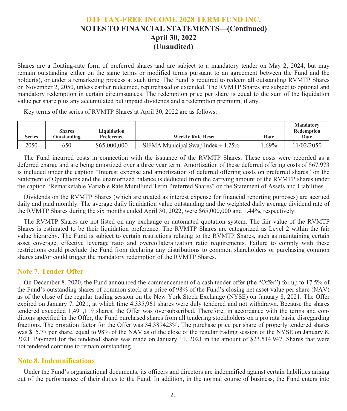## **DTF TAX-FREE INCOME 2028 TERM FUND INC. NOTES TO FINANCIAL STATEMENTS—(Continued) April 30, 2022 (Unaudited)**

Shares are a floating-rate form of preferred shares and are subject to a mandatory tender on May 2, 2024, but may remain outstanding either on the same terms or modified terms pursuant to an agreement between the Fund and the holder(s), or under a remarketing process at such time. The Fund is required to redeem all outstanding RVMTP Shares on November 2, 2050, unless earlier redeemed, repurchased or extended. The RVMTP Shares are subject to optional and mandatory redemption in certain circumstances. The redemption price per share is equal to the sum of the liquidation value per share plus any accumulated but unpaid dividends and a redemption premium, if any.

Key terms of the series of RVMTP Shares at April 30, 2022 are as follows:

| <b>Series</b> | <b>Shares</b><br><b>Outstanding</b> | Liauidation<br>Preference | <b>Weekly Rate Reset</b>             | Rate    | <b>Mandatory</b><br>Redemption<br>Date |
|---------------|-------------------------------------|---------------------------|--------------------------------------|---------|----------------------------------------|
| 2050          | 650                                 | \$65,000,000              | SIFMA Municipal Swap Index $+1.25\%$ | $.69\%$ | 1/02/2050                              |

The Fund incurred costs in connection with the issuance of the RVMTP Shares. These costs were recorded as a deferred charge and are being amortized over a three year term. Amortization of these deferred offering costs of \$67,973 is included under the caption "Interest expense and amortization of deferred offering costs on preferred shares" on the Statement of Operations and the unamortized balance is deducted from the carrying amount of the RVMTP shares under the caption "Remarketable Variable Rate MuniFund Term Preferred Shares" on the Statement of Assets and Liabilities.

Dividends on the RVMTP Shares (which are treated as interest expense for financial reporting purposes) are accrued daily and paid monthly. The average daily liquidation value outstanding and the weighted daily average dividend rate of the RVMTP Shares during the six months ended April 30, 2022, were \$65,000,000 and 1.44%, respectively.

The RVMTP Shares are not listed on any exchange or automated quotation system. The fair value of the RVMTP Shares is estimated to be their liquidation preference. The RVMTP Shares are categorized as Level 2 within the fair value hierarchy. The Fund is subject to certain restrictions relating to the RVMTP Shares, such as maintaining certain asset coverage, effective leverage ratio and overcollateralization ratio requirements. Failure to comply with these restrictions could preclude the Fund from declaring any distributions to common shareholders or purchasing common shares and/or could trigger the mandatory redemption of the RVMTP Shares.

#### **Note 7. Tender Offer**

On December 8, 2020, the Fund announced the commencement of a cash tender offer (the "Offer") for up to 17.5% of the Fund's outstanding shares of common stock at a price of 98% of the Fund's closing net asset value per share (NAV) as of the close of the regular trading session on the New York Stock Exchange (NYSE) on January 8, 2021. The Offer expired on January 7, 2021, at which time 4,335,961 shares were duly tendered and not withdrawn. Because the shares tendered exceeded 1,491,119 shares, the Offer was oversubscribed. Therefore, in accordance with the terms and conditions specified in the Offer, the Fund purchased shares from all tendering stockholders on a pro rata basis, disregarding fractions. The proration factor for the Offer was 34.389423%. The purchase price per share of properly tendered shares was \$15.77 per share, equal to 98% of the NAV as of the close of the regular trading session of the NYSE on January 8, 2021. Payment for the tendered shares was made on January 11, 2021 in the amount of \$23,514,947. Shares that were not tendered continue to remain outstanding.

#### **Note 8. Indemnifications**

Under the Fund's organizational documents, its officers and directors are indemnified against certain liabilities arising out of the performance of their duties to the Fund. In addition, in the normal course of business, the Fund enters into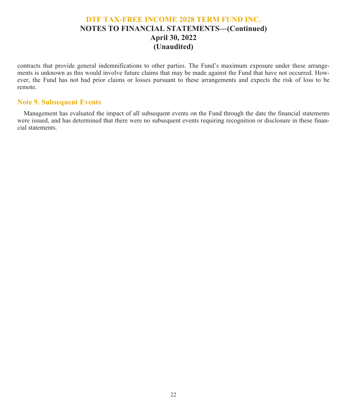## **DTF TAX-FREE INCOME 2028 TERM FUND INC. NOTES TO FINANCIAL STATEMENTS—(Continued) April 30, 2022 (Unaudited)**

contracts that provide general indemnifications to other parties. The Fund's maximum exposure under these arrangements is unknown as this would involve future claims that may be made against the Fund that have not occurred. However, the Fund has not had prior claims or losses pursuant to these arrangements and expects the risk of loss to be remote.

#### **Note 9. Subsequent Events**

Management has evaluated the impact of all subsequent events on the Fund through the date the financial statements were issued, and has determined that there were no subsequent events requiring recognition or disclosure in these financial statements.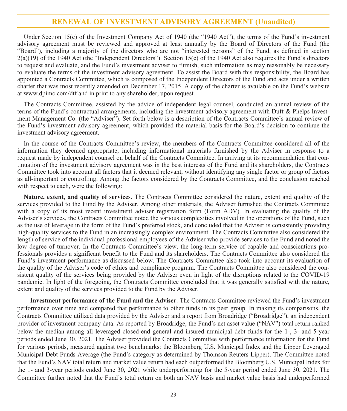#### **RENEWAL OF INVESTMENT ADVISORY AGREEMENT (Unaudited)**

Under Section 15(c) of the Investment Company Act of 1940 (the "1940 Act"), the terms of the Fund's investment advisory agreement must be reviewed and approved at least annually by the Board of Directors of the Fund (the "Board"), including a majority of the directors who are not "interested persons" of the Fund, as defined in section  $2(a)(19)$  of the 1940 Act (the "Independent Directors"). Section 15(c) of the 1940 Act also requires the Fund's directors to request and evaluate, and the Fund's investment adviser to furnish, such information as may reasonably be necessary to evaluate the terms of the investment advisory agreement. To assist the Board with this responsibility, the Board has appointed a Contracts Committee, which is composed of the Independent Directors of the Fund and acts under a written charter that was most recently amended on December 17, 2015. A copy of the charter is available on the Fund's website at www.dpimc.com/dtf and in print to any shareholder, upon request.

The Contracts Committee, assisted by the advice of independent legal counsel, conducted an annual review of the terms of the Fund's contractual arrangements, including the investment advisory agreement with Duff & Phelps Investment Management Co. (the "Adviser"). Set forth below is a description of the Contracts Committee's annual review of the Fund's investment advisory agreement, which provided the material basis for the Board's decision to continue the investment advisory agreement.

In the course of the Contracts Committee's review, the members of the Contracts Committee considered all of the information they deemed appropriate, including informational materials furnished by the Adviser in response to a request made by independent counsel on behalf of the Contracts Committee. In arriving at its recommendation that continuation of the investment advisory agreement was in the best interests of the Fund and its shareholders, the Contracts Committee took into account all factors that it deemed relevant, without identifying any single factor or group of factors as all-important or controlling. Among the factors considered by the Contracts Committee, and the conclusion reached with respect to each, were the following:

**Nature, extent, and quality of services**. The Contracts Committee considered the nature, extent and quality of the services provided to the Fund by the Adviser. Among other materials, the Adviser furnished the Contracts Committee with a copy of its most recent investment adviser registration form (Form ADV). In evaluating the quality of the Adviser's services, the Contracts Committee noted the various complexities involved in the operations of the Fund, such as the use of leverage in the form of the Fund's preferred stock, and concluded that the Adviser is consistently providing high-quality services to the Fund in an increasingly complex environment. The Contracts Committee also considered the length of service of the individual professional employees of the Adviser who provide services to the Fund and noted the low degree of turnover. In the Contracts Committee's view, the long-term service of capable and conscientious professionals provides a significant benefit to the Fund and its shareholders. The Contracts Committee also considered the Fund's investment performance as discussed below. The Contracts Committee also took into account its evaluation of the quality of the Adviser's code of ethics and compliance program. The Contracts Committee also considered the consistent quality of the services being provided by the Adviser even in light of the disruptions related to the COVID-19 pandemic. In light of the foregoing, the Contracts Committee concluded that it was generally satisfied with the nature, extent and quality of the services provided to the Fund by the Adviser.

**Investment performance of the Fund and the Adviser**. The Contracts Committee reviewed the Fund's investment performance over time and compared that performance to other funds in its peer group. In making its comparisons, the Contracts Committee utilized data provided by the Adviser and a report from Broadridge ("Broadridge"), an independent provider of investment company data. As reported by Broadridge, the Fund's net asset value ("NAV") total return ranked below the median among all leveraged closed-end general and insured municipal debt funds for the 1-, 3- and 5-year periods ended June 30, 2021. The Adviser provided the Contracts Committee with performance information for the Fund for various periods, measured against two benchmarks: the Bloomberg U.S. Municipal Index and the Lipper Leveraged Municipal Debt Funds Average (the Fund's category as determined by Thomson Reuters Lipper). The Committee noted that the Fund's NAV total return and market value return had each outperformed the Bloomberg U.S. Municipal Index for the 1- and 3-year periods ended June 30, 2021 while underperforming for the 5-year period ended June 30, 2021. The Committee further noted that the Fund's total return on both an NAV basis and market value basis had underperformed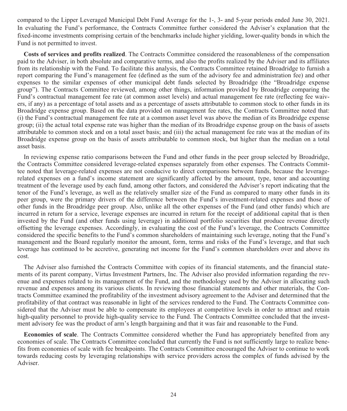compared to the Lipper Leveraged Municipal Debt Fund Average for the 1-, 3- and 5-year periods ended June 30, 2021. In evaluating the Fund's performance, the Contracts Committee further considered the Adviser's explanation that the fixed-income investments comprising certain of the benchmarks include higher yielding, lower-quality bonds in which the Fund is not permitted to invest.

**Costs of services and profits realized**. The Contracts Committee considered the reasonableness of the compensation paid to the Adviser, in both absolute and comparative terms, and also the profits realized by the Adviser and its affiliates from its relationship with the Fund. To facilitate this analysis, the Contracts Committee retained Broadridge to furnish a report comparing the Fund's management fee (defined as the sum of the advisory fee and administration fee) and other expenses to the similar expenses of other municipal debt funds selected by Broadridge (the "Broadridge expense group"). The Contracts Committee reviewed, among other things, information provided by Broadridge comparing the Fund's contractual management fee rate (at common asset levels) and actual management fee rate (reflecting fee waivers, if any) as a percentage of total assets and as a percentage of assets attributable to common stock to other funds in its Broadridge expense group. Based on the data provided on management fee rates, the Contracts Committee noted that: (i) the Fund's contractual management fee rate at a common asset level was above the median of its Broadridge expense group; (ii) the actual total expense rate was higher than the median of its Broadridge expense group on the basis of assets attributable to common stock and on a total asset basis; and (iii) the actual management fee rate was at the median of its Broadridge expense group on the basis of assets attributable to common stock, but higher than the median on a total asset basis.

In reviewing expense ratio comparisons between the Fund and other funds in the peer group selected by Broadridge, the Contracts Committee considered leverage-related expenses separately from other expenses. The Contracts Committee noted that leverage-related expenses are not conducive to direct comparisons between funds, because the leveragerelated expenses on a fund's income statement are significantly affected by the amount, type, tenor and accounting treatment of the leverage used by each fund, among other factors, and considered the Adviser's report indicating that the tenor of the Fund's leverage, as well as the relatively smaller size of the Fund as compared to many other funds in its peer group, were the primary drivers of the difference between the Fund's investment-related expenses and those of other funds in the Broadridge peer group. Also, unlike all the other expenses of the Fund (and other funds) which are incurred in return for a service, leverage expenses are incurred in return for the receipt of additional capital that is then invested by the Fund (and other funds using leverage) in additional portfolio securities that produce revenue directly offsetting the leverage expenses. Accordingly, in evaluating the cost of the Fund's leverage, the Contracts Committee considered the specific benefits to the Fund's common shareholders of maintaining such leverage, noting that the Fund's management and the Board regularly monitor the amount, form, terms and risks of the Fund's leverage, and that such leverage has continued to be accretive, generating net income for the Fund's common shareholders over and above its cost.

The Adviser also furnished the Contracts Committee with copies of its financial statements, and the financial statements of its parent company, Virtus Investment Partners, Inc. The Adviser also provided information regarding the revenue and expenses related to its management of the Fund, and the methodology used by the Adviser in allocating such revenue and expenses among its various clients. In reviewing those financial statements and other materials, the Contracts Committee examined the profitability of the investment advisory agreement to the Adviser and determined that the profitability of that contract was reasonable in light of the services rendered to the Fund. The Contracts Committee considered that the Adviser must be able to compensate its employees at competitive levels in order to attract and retain high-quality personnel to provide high-quality service to the Fund. The Contracts Committee concluded that the investment advisory fee was the product of arm's length bargaining and that it was fair and reasonable to the Fund.

**Economies of scale**. The Contracts Committee considered whether the Fund has appropriately benefited from any economies of scale. The Contracts Committee concluded that currently the Fund is not sufficiently large to realize benefits from economies of scale with fee breakpoints. The Contracts Committee encouraged the Adviser to continue to work towards reducing costs by leveraging relationships with service providers across the complex of funds advised by the Adviser.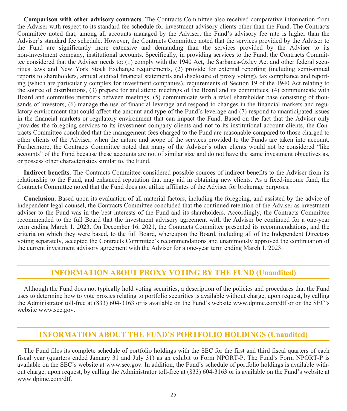**Comparison with other advisory contracts**. The Contracts Committee also received comparative information from the Adviser with respect to its standard fee schedule for investment advisory clients other than the Fund. The Contracts Committee noted that, among all accounts managed by the Adviser, the Fund's advisory fee rate is higher than the Adviser's standard fee schedule. However, the Contracts Committee noted that the services provided by the Adviser to the Fund are significantly more extensive and demanding than the services provided by the Adviser to its non-investment company, institutional accounts. Specifically, in providing services to the Fund, the Contracts Committee considered that the Adviser needs to: (1) comply with the 1940 Act, the Sarbanes-Oxley Act and other federal securities laws and New York Stock Exchange requirements, (2) provide for external reporting (including semi-annual reports to shareholders, annual audited financial statements and disclosure of proxy voting), tax compliance and reporting (which are particularly complex for investment companies), requirements of Section 19 of the 1940 Act relating to the source of distributions, (3) prepare for and attend meetings of the Board and its committees, (4) communicate with Board and committee members between meetings, (5) communicate with a retail shareholder base consisting of thousands of investors, (6) manage the use of financial leverage and respond to changes in the financial markets and regulatory environment that could affect the amount and type of the Fund's leverage and (7) respond to unanticipated issues in the financial markets or regulatory environment that can impact the Fund. Based on the fact that the Adviser only provides the foregoing services to its investment company clients and not to its institutional account clients, the Contracts Committee concluded that the management fees charged to the Fund are reasonable compared to those charged to other clients of the Adviser, when the nature and scope of the services provided to the Funds are taken into account. Furthermore, the Contracts Committee noted that many of the Adviser's other clients would not be considered "like accounts" of the Fund because these accounts are not of similar size and do not have the same investment objectives as, or possess other characteristics similar to, the Fund.

**Indirect benefits**. The Contracts Committee considered possible sources of indirect benefits to the Adviser from its relationship to the Fund, and enhanced reputation that may aid in obtaining new clients. As a fixed-income fund, the Contracts Committee noted that the Fund does not utilize affiliates of the Adviser for brokerage purposes.

**Conclusion**. Based upon its evaluation of all material factors, including the foregoing, and assisted by the advice of independent legal counsel, the Contracts Committee concluded that the continued retention of the Adviser as investment adviser to the Fund was in the best interests of the Fund and its shareholders. Accordingly, the Contracts Committee recommended to the full Board that the investment advisory agreement with the Adviser be continued for a one-year term ending March 1, 2023. On December 16, 2021, the Contracts Committee presented its recommendations, and the criteria on which they were based, to the full Board, whereupon the Board, including all of the Independent Directors voting separately, accepted the Contracts Committee's recommendations and unanimously approved the continuation of the current investment advisory agreement with the Adviser for a one-year term ending March 1, 2023.

#### **INFORMATION ABOUT PROXY VOTING BY THE FUND (Unaudited)**

Although the Fund does not typically hold voting securities, a description of the policies and procedures that the Fund uses to determine how to vote proxies relating to portfolio securities is available without charge, upon request, by calling the Administrator toll-free at (833) 604-3163 or is available on the Fund's website www.dpimc.com/dtf or on the SEC's website www.sec.gov.

#### **INFORMATION ABOUT THE FUND'S PORTFOLIO HOLDINGS (Unaudited)**

The Fund files its complete schedule of portfolio holdings with the SEC for the first and third fiscal quarters of each fiscal year (quarters ended January 31 and July 31) as an exhibit to Form NPORT-P. The Fund's Form NPORT-P is available on the SEC's website at www.sec.gov. In addition, the Fund's schedule of portfolio holdings is available without charge, upon request, by calling the Administrator toll-free at (833) 604-3163 or is available on the Fund's website at www.dpimc.com/dtf.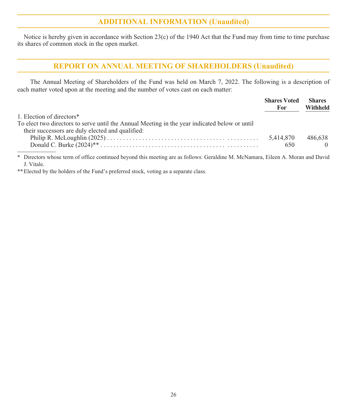#### **ADDITIONAL INFORMATION (Unaudited)**

Notice is hereby given in accordance with Section 23(c) of the 1940 Act that the Fund may from time to time purchase its shares of common stock in the open market.

## **REPORT ON ANNUAL MEETING OF SHAREHOLDERS (Unaudited)**

The Annual Meeting of Shareholders of the Fund was held on March 7, 2022. The following is a description of each matter voted upon at the meeting and the number of votes cast on each matter:

|                                                                                                                                 | <b>Shares Voted</b><br>For | <b>Shares</b><br>Withheld |
|---------------------------------------------------------------------------------------------------------------------------------|----------------------------|---------------------------|
| 1. Election of directors*                                                                                                       |                            |                           |
| To elect two directors to serve until the Annual Meeting in the year indicated below or until                                   |                            |                           |
| their successors are duly elected and qualified:                                                                                |                            |                           |
|                                                                                                                                 | 5.414.870                  | 486.638                   |
|                                                                                                                                 | 650                        | $\Omega$                  |
| * Directors whose term of office continued beyond this meeting are as follows: Geraldine M. McNamara, Eileen A. Moran and David |                            |                           |

J. Vitale. \*\*Elected by the holders of the Fund's preferred stock, voting as a separate class.